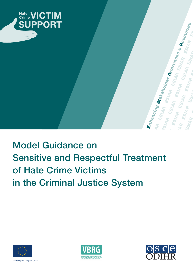

### Model Guidance on Sensitive and Respectful Treatment of Hate Crime Victims in the Criminal Justice System





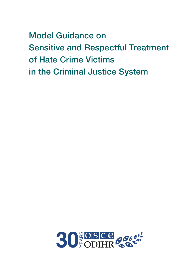Model Guidance on **Sensitive and Respectful Treatment** of Hate Crime Victims in the Criminal Justice System

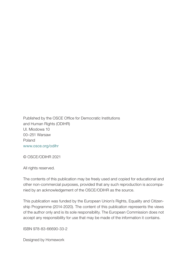Published by the OSCE Office for Democratic Institutions and Human Rights (ODIHR) Ul. Miodowa 10 00–251 Warsaw Poland www.osce.org/odihr

© OSCE/ODIHR 2021

All rights reserved.

The contents of this publication may be freely used and copied for educational and other non-commercial purposes, provided that any such reproduction is accompanied by an acknowledgement of the OSCE/ODIHR as the source.

This publication was funded by the European Union's Rights, Equality and Citizenship Programme (2014-2020). The content of this publication represents the views of the author only and is its sole responsibility. The European Commission does not accept any responsibility for use that may be made of the information it contains.

ISBN 978-83-66690-33-2

Designed by Homework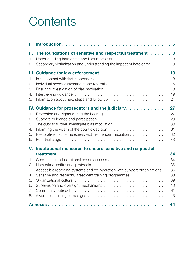### **Contents**

| ı.                                                 |                                                                                                                                                                                                                                                                                                                                                                       |  |
|----------------------------------------------------|-----------------------------------------------------------------------------------------------------------------------------------------------------------------------------------------------------------------------------------------------------------------------------------------------------------------------------------------------------------------------|--|
| н.<br>1.<br>2.                                     | The foundations of sensitive and respectful treatment 8<br>Understanding hate crime and bias motivation. 8<br>Secondary victimization and understanding the impact of hate crime 9                                                                                                                                                                                    |  |
| $\mathbf{1}$ .<br>2.<br>3.<br>4.<br>5.             | Information about next steps and follow up $\ldots \ldots \ldots \ldots \ldots \ldots$                                                                                                                                                                                                                                                                                |  |
| 1.<br>2.<br>3.<br>4.<br>5.<br>6.                   | IV. Guidance for prosecutors and the judiciary. $\ldots \ldots \ldots \ldots$ 27<br>The duty to further investigate bias motivation $\ldots \ldots \ldots \ldots \ldots \ldots \ldots \ldots$<br>Informing the victim of the court's decision $\ldots \ldots \ldots \ldots \ldots \ldots \ldots \ldots$<br>Restorative justice measures: victim-offender mediation 32 |  |
| V.<br>1.<br>2.<br>3.<br>4.<br>5.<br>6.<br>7.<br>8. | Institutional measures to ensure sensitive and respectful<br>Accessible reporting systems and co-operation with support organizations 36<br>Sensitive and respectful treatment training programmes. 38                                                                                                                                                                |  |
|                                                    |                                                                                                                                                                                                                                                                                                                                                                       |  |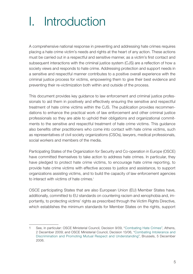### <span id="page-6-0"></span>I. Introduction

A comprehensive national response in preventing and addressing hate crimes requires placing a hate crime victim's needs and rights at the heart of any action. These actions must be carried out in a respectful and sensitive manner, as a victim's first contact and subsequent interactions with the criminal justice system (CJS) are a reflection of how a society views and responds to hate crime. Addressing protection and support needs in a sensitive and respectful manner contributes to a positive overall experience with the criminal justice process for victims, empowering them to give their best evidence and preventing their re-victimization both within and outside of the process.

This document provides key guidance to law enforcement and criminal justice professionals to aid them in positively and effectively ensuring the sensitive and respectful treatment of hate crime victims within the CJS. The publication provides recommendations to enhance the practical work of law enforcement and other criminal justice professionals so they are able to uphold their obligations and organizational commitments to the sensitive and respectful treatment of hate crime victims. This guidance also benefits other practitioners who come into contact with hate crime victims, such as representatives of civil society organizations (CSOs), lawyers, medical professionals, social workers and members of the media.

Participating States of the Organization for Security and Co-operation in Europe (OSCE) have committed themselves to take action to address hate crimes. In particular, they have pledged to protect hate crime victims, to encourage hate crime reporting, to provide hate crime victims with effective access to justice and assistance, to support organizations assisting victims, and to build the capacity of law enforcement agencies to interact with victims of hate crimes.<sup>1</sup>

OSCE participating States that are also European Union (EU) Member States have, additionally, committed to EU standards on countering racism and xenophobia and, importantly, to protecting victims' rights as prescribed through the Victim Rights Directive, which establishes the minimum standards for Member States on the rights, support

<sup>1</sup> See, in particular: OSCE Ministerial Council, Decision 9/09, "[Combating Hate Crimes"](https://www.osce.org/cio/40695), Athens, 2 December 2009; and OSCE Ministerial Council, Decision 13/06, "[Combating Intolerance and](https://www.osce.org/mc/23114) [Discrimination and Promoting Mutual Respect and Understanding](https://www.osce.org/mc/23114)", Brussels, 5 December 2006.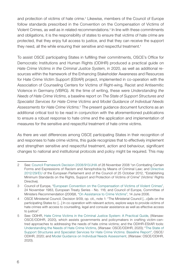and protection of victims of hate crime.<sup>2</sup> Likewise, members of the Council of Europe follow standards prescribed in the Convention on the Compensation of Victims of Violent Crimes, as well as in related recommendations.<sup>3</sup> In line with these commitments and obligations, it is the responsibility of states to ensure that victims of hate crime are protected, that they enjoy full access to justice, and that they can receive the support they need, all the while ensuring their sensitive and respectful treatment.<sup>4</sup>

To assist OSCE participating States in fulfilling their commitments, OSCE's Office for Democratic Institutions and Human Rights (ODIHR) produced a practical guide on *Hate Crime Victims in the Criminal Justice System*, in 2020, as well as additional resources within the framework of the Enhancing Stakeholder Awareness and Resources for Hate Crime Victim Support (EStAR) project, implemented in co-operation with the Association of Counseling Centers for Victims of Right-wing, Racist and Antisemitic Violence in Germany (VBRG). At the time of writing, these were *Understanding the Needs of Hate Crime Victims*, a baseline report on *The State of Support Structures and Specialist Services for Hate Crime Victims* and *Model Guidance of Individual Needs Assessments for Hate Crime Victims.*<sup>5</sup> The present guidance document functions as an additional critical tool to be read in conjunction with the aforementioned publications to ensure a robust response to hate crime and the application and implementation of measures for the sensitive and respectful treatment of hate crime victims.

As there are vast differences among OSCE participating States in their recognition of and responses to hate crime victims, this guide recognizes that to effectively implement and strengthen sensitive and respectful treatment, action and behaviour, significant changes to national and institutional protocols and policy might be required. This may

<sup>2</sup> See: [Council Framework Decision 2008/913/JHA](https://eur-lex.europa.eu/legal-content/EN/TXT/PDF/?uri=CELEX:32008F0913&from=en) of 28 November 2008 "on Combating Certain Forms and Expressions of Racism and Xenophobia by Means of Criminal Law; and [Directive](https://eur-lex.europa.eu/legal-content/EN/TXT/PDF/?uri=CELEX:32012L0029&from=en)  [2012/29/EU](https://eur-lex.europa.eu/legal-content/EN/TXT/PDF/?uri=CELEX:32012L0029&from=en) of the European Parliament and of the Council of 25 October 2012, "Establishing Minimum Standards on the Rights, Support and Protection of Victims of Crime" (Victims' Rights Directive).

<sup>3</sup> Council of Europe, "[European Convention on the Compensation of Victims of Violent Crimes"](https://rm.coe.int/1680079751), 24 November 1983, European Treaty Series - No. 116; and Council of Europe, Committee of Ministers Recommendation (2006)8, "[On Assistance to Crime Victims](https://rm.coe.int/16805afa5c)", 14 June 2006.

<sup>4</sup> OSCE Ministerial Council, Decision 9/09, op. cit., note 1: "The Ministerial Council […c]alls on the participating States to: […] In co-operation with relevant actors, explore ways to provide victims of hate crimes with access to counselling, legal and consular assistance as well as effective access to justice".

<sup>5</sup> See: ODIHR, [Hate Crime Victims in the Criminal Justice System: A Practical Guide,](https://www.osce.org/odihr/447028) (Warsaw: OSCE/ODIHR, 2020), which assists governments and policymakers in crafting victim-centred approaches to addressing the needs of hate crime victims; and the ODIHR-EStAR tools: [Understanding the Needs of Hate Crime Victims,](https://www.osce.org/odihr/463011) (Warsaw: OSCE/ODIHR, 2020); "[The State of](https://www.osce.org/odihr/467916)  [Support Structures and Specialist Services for Hate Crime Victims: Baseline Report"](https://www.osce.org/odihr/467916), OSCE/ ODIHR, 2020; and [Model Guidance on Individual Needs Assessment](https://www.osce.org/odihr/hate-crime-victim-support), (Warsaw: OSCE/ODIHR, 2020).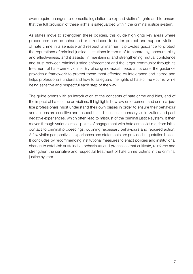even require changes to domestic legislation to expand victims' rights and to ensure that the full provision of these rights is safeguarded within the criminal justice system.

As states move to strengthen these policies, this guide highlights key areas where procedures can be enhanced or introduced to better protect and support victims of hate crime in a sensitive and respectful manner; it provides guidance to protect the reputations of criminal justice institutions in terms of transparency, accountability and effectiveness; and it assists in maintaining and strengthening mutual confidence and trust between criminal justice enforcement and the larger community through its treatment of hate crime victims. By placing individual needs at its core, the guidance provides a framework to protect those most affected by intolerance and hatred and helps professionals understand how to safeguard the rights of hate crime victims, while being sensitive and respectful each step of the way.

The guide opens with an introduction to the concepts of hate crime and bias, and of the impact of hate crime on victims. It highlights how law enforcement and criminal justice professionals must understand their own biases in order to ensure their behaviour and actions are sensitive and respectful. It discusses secondary victimization and past negative experiences, which often lead to mistrust of the criminal justice system. It then moves through various critical points of engagement with hate crime victims, from initial contact to criminal proceedings, outlining necessary behaviours and required action. A few victim perspectives, experiences and statements are provided in quotation boxes. It concludes by recommending institutional measures to enact policies and institutional change to establish sustainable behaviours and processes that cultivate, reinforce and strengthen the sensitive and respectful treatment of hate crime victims in the criminal justice system.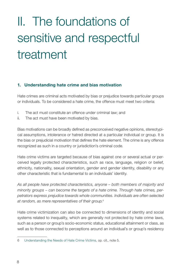# <span id="page-9-0"></span>II. The foundations of sensitive and respectful treatment

#### 1. Understanding hate crime and bias motivation

Hate crimes are criminal acts motivated by bias or prejudice towards particular groups or individuals. To be considered a hate crime, the offence must meet two criteria:

- i. The act must constitute an offence under criminal law; and
- ii. The act must have been motivated by bias.

Bias motivations can be broadly defined as preconceived negative opinions, stereotypical assumptions, intolerance or hatred directed at a particular individual or group. It is the bias or prejudicial motivation that defines the hate element. The crime is any offence recognized as such in a country or jurisdiction's criminal code.

Hate crime victims are targeted because of bias against one or several actual or perceived legally protected characteristics, such as race, language, religion or belief, ethnicity, nationality, sexual orientation, gender and gender identity, disability or any other characteristic that is fundamental to an individuals' identity.

*As all people have protected characteristics, anyone – both members of majority and minority groups – can become the targets of a hate crime. Through hate crimes, perpetrators express prejudice towards whole communities. Individuals are often selected at random, as mere representatives of their group.*<sup>6</sup>

Hate crime victimization can also be connected to dimensions of identity and social systems related to inequality, which are generally not protected by hate crime laws, such as a person or group's socio-economic status, educational attainment or class, as well as to those connected to perceptions around an individual's or group's residency

<sup>6</sup> [Understanding the Needs of Hate Crime Victims,](https://www.osce.org/odihr/463011) op. cit., note 5.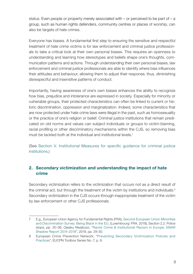<span id="page-10-0"></span>status. Even people or property merely associated with  $-$  or perceived to be part of  $-a$ group, such as human rights defenders, community centres or places of worship, can also be targets of hate crimes.

Everyone has biases. A fundamental first step to ensuring the sensitive and respectful treatment of hate crime victims is for law enforcement and criminal justice professionals to take a critical look at their own personal biases. This requires an openness to understanding and learning how stereotypes and beliefs shape one's thoughts, communication patterns and actions. Through understanding their own personal biases, law enforcement and criminal justice professionals are able to identify where bias influences their attitudes and behaviour, allowing them to adjust their response, thus, diminishing disrespectful and insensitive patterns of conduct.

Importantly, having awareness of one's own biases enhances the ability to recognize how bias, prejudice and intolerance are expressed in society. Especially for minority or vulnerable groups, their protected characteristics can often be linked to current or historic discrimination, oppression and marginalization. Indeed, some characteristics that are now protected under hate crime laws were illegal in the past, such as homosexuality or the practice of one's religion or belief. Criminal justice institutions that remain predicated on old norms and values can subject individuals or groups to victim-blaming, racial profiling or other discriminatory mechanisms within the CJS, so removing bias must be tackled both at the individual and institutional levels.<sup>7</sup>

(See [Section V. Institutional Measures for specific guidance for criminal justice](#page-35-0)  [institutions](#page-35-0).)

#### 2. Secondary victimization and understanding the impact of hate crime

Secondary victimization refers to the victimization that occurs not as a direct result of the criminal act, but through the treatment of the victim by institutions and individuals. $8$ Secondary victimization in the CJS occurs through inappropriate treatment of the victim by law enforcement or other CJS professionals.

<sup>7</sup> E.g., European Union Agency for Fundamental Rights (FRA), [Second European Union Minorities](https://fra.europa.eu/en/publication/2018/being-black-eu)  [and Discrimination Survey. Being Black in the EU](https://fra.europa.eu/en/publication/2018/being-black-eu), (Luxembourg: FRA, 2018), Section 2.2. Police stops, pp. 30-36; Ojeaku Nwabuzo, ["Racist Crime & Institutional Racism in Europe. ENAR](https://www.enar-eu.org/IMG/pdf/shadowreport2018_final.pdf)  [Shadow Report 2014-2018"](https://www.enar-eu.org/IMG/pdf/shadowreport2018_final.pdf), 2019, pp. 29-30.

<sup>8</sup> European Crime Prevention Network, ["Preventing Secondary Victimization Policies and](https://eucpn.org/document/toolbox-7-preventing-secondary-victimization-policies-practices)  [Practices](https://eucpn.org/document/toolbox-7-preventing-secondary-victimization-policies-practices)", EUCPN Toolbox Series No. 7, p. 9.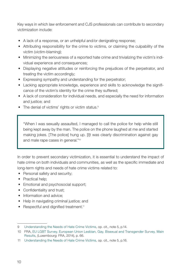Key ways in which law enforcement and CJS professionals can contribute to secondary victimization include:

- A lack of a response, or an unhelpful and/or denigrating response;
- Attributing responsibility for the crime to victims, or claiming the culpability of the victim (victim-blaming);
- Minimizing the seriousness of a reported hate crime and trivializing the victim's individual experience and consequences;
- Displaying negative attitudes or reinforcing the prejudices of the perpetrator, and treating the victim accordingly;
- Expressing sympathy and understanding for the perpetrator;
- Lacking appropriate knowledge, experience and skills to acknowledge the significance of the victim's identity for the crime they suffered;
- A lack of consideration for individual needs, and especially the need for information and justice; and
- The denial of victims' rights or victim status.<sup>9</sup>

"When I was sexually assaulted, I managed to call the police for help while still being kept away by the man. The police on the phone laughed at me and started making jokes. [The police] hung up. [I]t was clearly discrimination against gay and male rape cases in general."10

In order to prevent secondary victimization, it is essential to understand the impact of hate crime on both individuals and communities, as well as the specific immediate and long-term rights and needs of hate crime victims related to:

- Personal safety and security;
- Practical help:
- Emotional and psychosocial support;
- Confidentiality and trust;
- Information and advice;
- Help in navigating criminal justice; and
- Respectful and dignified treatment.<sup>11</sup>

<sup>9</sup> [Understanding the Needs of Hate Crime Victims,](https://www.osce.org/odihr/463011) op. cit., note 5, p.14.

<sup>10</sup> FRA, [EU LGBT Survey. European Union Lesbian, Gay, Bisexual and Transgender Survey. Main](https://fra.europa.eu/en/publication/2014/eu-lgbt-survey-european-union-lesbian-gay-bisexual-and-transgender-survey-main)  [Results,](https://fra.europa.eu/en/publication/2014/eu-lgbt-survey-european-union-lesbian-gay-bisexual-and-transgender-survey-main) (Luxembourg: FRA, 2014), p. 66.

<sup>11</sup> [Understanding the Needs of Hate Crime Victims,](https://www.osce.org/odihr/463011) op. cit., note 5, p.16.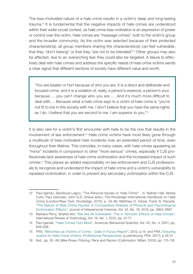The bias-motivated nature of a hate crime results in a victim's deep and long-lasting trauma.12 It is fundamental that the negative impacts of hate crimes are understood within their wider social context, as hate crime bias motivation is an expression of power or control over the victim. Hate crimes are "message crimes", both to the victim's group and the broader community. As the victim was selected because of their protected characteristic(s), all group members sharing the characteristic(s) can feel vulnerable, that they "don't belong" or that they "are not to be tolerated".13 Other groups may also be affected, due to an overarching fear they could also be targeted. A failure to effectively deal with hate crimes and address the specific needs of hate crime victims sends a clear signal that different sections of society have different value and worth.

"You are beaten or hurt because of who you are. It is a direct and deliberate and focused crime, and it is a violation of, really, a person's essence, a person's soul, because … you can't change who you are …. And it's much more difficult to deal with…. Because what a hate crime says to a victim of hate crime is "you're not fit to live in this society with me. I don't believe that you have the same rights as I do. I believe that you are second to me. I am superior to you."14

It is also rare for a victim's first encounter with hate to be the one that results in the involvement of law enforcement.15 Hate crime victims have most likely gone through a multitude of bias motivated hate incidents over an extended period of time, even throughout their lifetime. This coincides, in many cases, with hate crimes appearing as "minor" incidents in comparison to other "more serious" crimes, especially if CJS professionals lack awareness of hate crime victimization and the increased impact of such crimes.16 This places an added responsibility on law enforcement and CJS professionals to recognize and understand the impact of hate crime and a victim's vulnerability to repeated victimization, in order to prevent any secondary victimization within the CJS.

<sup>12</sup> Paul Iganski, Spiridoula Lagou, "The Personal Injuries of 'Hate Crime'" , in: Nathan Hall, Abbee Corb, Paul Giannasi, John G.D. Grieve (eds.), The Routledge International Handbook on Hate Crime (London/New York: Routledge, 2015), p. 34-46; Matthew D. Fetzer, Frank S. Pezzela, "[The Nature of Bias Crime Injuries: A Comparative Analysis of Physical and Psychological](https://journals.sagepub.com/doi/10.1177/0886260516672940) [Victimization Effects](https://journals.sagepub.com/doi/10.1177/0886260516672940)," Journal of Interpersonal Violence, Vol. 34, No. 18, 2019, pp. 3864-3887.

<sup>13</sup> Barbara Perry, Shahid Alvi, "[We Are All Vulnerable': The in Terrorem Effects of Hate Crimes](https://journals.sagepub.com/doi/10.1177/0269758011422475)", International Review of Victimology, Vol. 18, No. 1, 2012, pp. 57-71.

<sup>14</sup> Paul Iganski, ["Hate Crimes Hurt More"](https://journals.sagepub.com/doi/10.1177/0002764201045004006), American Behavioral Scientist, Vol. 45, No. 4, 2001, pp. 626-638.

<sup>15</sup> FRA, ["Minorities as Victims of Crime – Data in Focus Report](https://fra.europa.eu/sites/default/files/fra-2012-eu-midis-dif6_0.pdf)", 2012, p.14; and FRA, [Ensuring](https://fra.europa.eu/sites/default/files/fra_uploads/fra-2016-justice-hate_crime-victims_en.pdf) [Justice for Hate Crime Victims: Professional Perspectives,](https://fra.europa.eu/sites/default/files/fra_uploads/fra-2016-justice-hate_crime-victims_en.pdf) (Luxembourg: FRA, 2017), p 28-31.

<sup>16</sup> Ibid., pp. 30, 46; Mike Rowe, Policing, Race and Racism (Cullompton: Willan, 2004), pp. 115-116.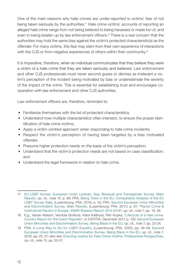One of the main reasons why hate crimes are under-reported is victims' fear of not being taken seriously by the authorities.<sup>17</sup> Hate crime victims' accounts of reporting an alleged hate crime range from not being believed to being harassed or made fun of, and even to being beaten up by law enforcement officers.18 There is a real concern that the authorities may hold the same bias against the victim's protected characteristic(s) as the offender. For many victims, this fear may stem from their own experience of interactions with the CJS or from negative experiences of others within their community.<sup>19</sup>

It is imperative, therefore, when an individual communicates that they believe they were a victim of a hate crime that they are taken seriously and believed. Law enforcement and other CJS professionals must never second-guess or dismiss as irrelevant a victim's perception of the incident being motivated by bias or underestimate the severity of the impact of the crime. This is essential for establishing trust and encourages cooperation with law enforcement and other CJS authorities.

Law enforcement officers are, therefore, reminded to:

- Familiarize themselves with the list of protected characteristics;
- Understand how multiple characteristics often intersect, to ensure the proper identification of hate crime victims;
- Apply a victim-centred approach when responding to hate crime incidents;
- Respect the victim's perception of having been targeted by a bias motivated offender;
- Presume higher protection needs on the basis of the victim's perception;
- Understand that the victim's protection needs are not based on case classification; and
- Understand the legal framework in relation to hate crime.

<sup>17</sup> [EU LGBT Survey. European Union Lesbian, Gay, Bisexual and Transgender Survey. Main](https://fra.europa.eu/en/publication/2014/eu-lgbt-survey-european-union-lesbian-gay-bisexual-and-transgender-survey-main)  [Results,](https://fra.europa.eu/en/publication/2014/eu-lgbt-survey-european-union-lesbian-gay-bisexual-and-transgender-survey-main) op. cit., note 10, p. 68; FRA, [Being Trans in the EU. Comparative Analysis of the EU](https://fra.europa.eu/en/publication/2014/being-trans-eu-comparative-analysis-eu-lgbt-survey-data)  [LGBT Survey Data,](https://fra.europa.eu/en/publication/2014/being-trans-eu-comparative-analysis-eu-lgbt-survey-data) (Luxembourg: FRA, 2014), p. 52; FRA, [Second European Union Minorities](https://fra.europa.eu/en/publication/2017/second-european-union-minorities-and-discrimination-survey-main-results)  [and Discrimination Survey. Main Results](https://fra.europa.eu/en/publication/2017/second-european-union-minorities-and-discrimination-survey-main-results), (Luxembourg: FRA, 2017), p. 67; "[Racist Crime &](https://www.enar-eu.org/IMG/pdf/shadowreport2018_final.pdf)  [Institutional Racism in Europe. ENAR Shadow Report 2014-2018](https://www.enar-eu.org/IMG/pdf/shadowreport2018_final.pdf)", op. cit., note 7, pp. 19, 39.

<sup>18</sup> E.g., Václav Walach, Vendula Divišová, Klára Kalibová, Petr Kupka, ["Lifecycle of a hate crime:](https://www.iccl.ie/wp-content/uploads/2018/10/Life-Cycle-of-a-Hate-Crime-Country-Report-for-Czech-Republic-English.pdf)  [Country Report for the Czech Republic"](https://www.iccl.ie/wp-content/uploads/2018/10/Life-Cycle-of-a-Hate-Crime-Country-Report-for-Czech-Republic-English.pdf), In IUSTITIA, December 2017, p. 102; [Second European](https://fra.europa.eu/en/publication/2018/being-black-eu)  [Union Minorities and Discrimination Survey. Being Black in the EU,](https://fra.europa.eu/en/publication/2018/being-black-eu) op. cit., note 7, pp. 23-24.

<sup>19</sup> FRA, [A Long Way to Go for LGBTI Equality](https://fra.europa.eu/en/publication/2020/eu-lgbti-survey-results), (Luxembourg: FRA, 2020), pp. 46-49; [Second](https://fra.europa.eu/en/publication/2018/being-black-eu)  [European Union Minorities and Discrimination Survey. Being Black in the EU](https://fra.europa.eu/en/publication/2018/being-black-eu), op. cit., note 7, 2018, pp. 25, 27; also see: [Ensuring Justice for Hate Crime Victims: Professional Perspectives](https://fra.europa.eu/sites/default/files/fra_uploads/fra-2016-justice-hate_crime-victims_en.pdf), op. cit., note 15, pp. 53-57.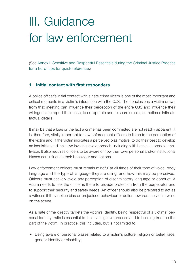## <span id="page-14-0"></span>III. Guidance for law enforcement

(See [Annex I. Sensitive and Respectful Essentials during the Criminal Justice Process](#page-45-0) [for a list of tips for quick reference.](#page-45-0))

#### 1. Initial contact with first responders

A police officer's initial contact with a hate crime victim is one of the most important and critical moments in a victim's interaction with the CJS. The conclusions a victim draws from that meeting can influence their perception of the entire CJS and influence their willingness to report their case, to co-operate and to share crucial, sometimes intimate factual details.

It may be that a bias or the fact a crime has been committed are not readily apparent. It is, therefore, vitally important for law enforcement officers to listen to the perception of the victim and, if the victim indicates a perceived bias motive, to do their best to develop an inquisitive and inclusive investigative approach, including with hate as a possible motivator. It also requires officers to be aware of how their own personal and/or institutional biases can influence their behaviour and actions.

Law enforcement officers must remain mindful at all times of their tone of voice, body language and the type of language they are using, and how this may be perceived. Officers must actively avoid any perception of discriminatory language or conduct. A victim needs to feel the officer is there to provide protection from the perpetrator and to support their security and safety needs. An officer should also be prepared to act as a witness if they notice bias or prejudiced behaviour or action towards the victim while on the scene.

As a hate crime directly targets the victim's identity, being respectful of a victims' personal identity traits is essential to the investigative process and to building trust on the part of the victim. In practice, this includes, but is not limited to:

• Being aware of personal biases related to a victim's culture, religion or belief, race, gender identity or disability;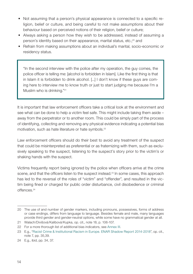- Not assuming that a person's physical appearance is connected to a specific religion, belief or culture, and being careful to not make assumptions about their behaviour based on perceived notions of their religion, belief or culture;
- Always asking a person how they wish to be addressed, instead of assuming a person's identity based on their appearance, marital status, etc.;20 and
- Refrain from making assumptions about an individual's marital, socio-economic or residency status.

"In the second interview with the police after my operation, the guy comes, the police officer is telling me: [alcohol is forbidden in Islam]. Like the first thing is that in Islam it is forbidden to drink alcohol. [...] I don't know if these guys are coming here to interview me to know truth or just to start judging me because I'm a Muslim who is drinking."<sup>21</sup>

It is important that law enforcement officers take a critical look at the environment and see what can be done to help a victim feel safe. This might include taking them aside – away from the perpetrator or to another room. This could be simply part of the process of identifying, collecting and removing any physical evidence indicating a potential bias motivation, such as hate literature or hate symbols.<sup>22</sup>

Law enforcement officers should do their best to avoid any treatment of the suspect that could be misinterpreted as preferential or as fraternizing with them, such as exclusively speaking to the suspect, listening to the suspect's story prior to the victim's or shaking hands with the suspect.

Victims frequently report being ignored by the police when officers arrive at the crime scene, and that the officers listen to the suspect instead.<sup>23</sup> In some cases, this approach has led to the reversal of the roles of "victim" and "offender", and resulted in the victim being fined or charged for public order disturbance, civil disobedience or criminal offences.24

<sup>20</sup> The use of and number of gender markers, including pronouns, possessives, forms of address or case endings, differs from language to language. Besides female and male, many languages provide third gender and gender-neutral options, while some have no grammatical gender at all.

<sup>21</sup> Walach/Divišová/Kalibová/Kupka, op. cit., note 18, p. 106-107.

<sup>22</sup> For a more thorough list of additional bias indicators, see Annex III.

<sup>23</sup> E.g., "[Racist Crime & Institutional Racism in Europe. ENAR Shadow Report 2014-2018](https://www.enar-eu.org/IMG/pdf/shadowreport2018_final.pdf)", op. cit., note 7, pp. 35,39.

<sup>24</sup> E.g., ibid, pp. 34, 37.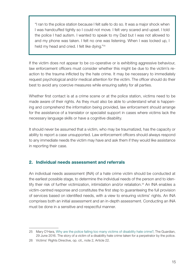<span id="page-16-0"></span>"I ran to the police station because I felt safe to do so. It was a major shock when I was handcuffed tightly so I could not move. I felt very scared and upset. I told the police I had autism. I wanted to speak to my Dad but I was not allowed to and my phone was taken. I felt no one was listening. When I was locked up, I held my head and cried. I felt like dying."25

If the victim does not appear to be co-operative or is exhibiting aggressive behaviour, law enforcement officers must consider whether this might be due to the victim's reaction to the trauma inflicted by the hate crime. It may be necessary to immediately request psychological and/or medical attention for the victim. The officer should do their best to avoid any coercive measures while ensuring safety for all parties.

Whether first contact is at a crime scene or at the police station, victims need to be made aware of their rights. As they must also be able to understand what is happening and comprehend the information being provided, law enforcement should arrange for the assistance of a translator or specialist support in cases where victims lack the necessary language skills or have a cognitive disability.

It should never be assumed that a victim, who may be traumatized, has the capacity or ability to report a case unsupported. Law enforcement officers should always respond to any immediate needs the victim may have and ask them if they would like assistance in reporting their case.

#### 2. Individual needs assessment and referrals

An individual needs assessment (INA) of a hate crime victim should be conducted at the earliest possible stage, to determine the individual needs of the person and to identify their risk of further victimization, intimidation and/or retaliation.<sup>26</sup> An INA enables a victim-centred response and constitutes the first step to guaranteeing the full provision of services based on identified needs, with a view to ensuring victims' rights. An INA comprises both an initial assessment and an in-depth assessment. Conducting an INA must be done in a sensitive and respectful manner.

<sup>25</sup> Mary O'Hara, [Why are the police failing too many victims of disability hate crime?](https://www.theguardian.com/society/2016/jun/29/police-failing-victims-disability-hate-crime-daniel-smith), The Guardian, 29 June 2016. The story of a victim of a disability hate crime taken for a perpetrator by the police.

<sup>26</sup> Victims' Rights Directive, op. cit., note 2, Article 22.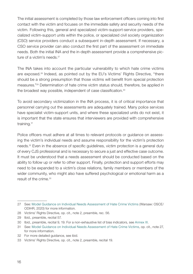The initial assessment is completed by those law enforcement officers coming into first contact with the victim and focuses on the immediate safety and security needs of the victim. Following this, general and specialized victim-support-service providers, specialized victim-support units within the police, or specialized civil society organiszation (CSO) service providers conduct a subsequent in-depth assessment. If necessary, a CSO service provider can also conduct the first part of the assessment on immediate needs. Both the initial INA and the in-depth assessment provide a comprehensive picture of a victim's needs.<sup>27</sup>

The INA takes into account the particular vulnerability to which hate crime victims are exposed.28 Indeed, as pointed out by the EU's Victims' Rights Directive, "there should be a strong presumption that those victims will benefit from special protection measures."29 Determination of hate crime victim status should, therefore, be applied in the broadest way possible, independent of case classification.<sup>30</sup>

To avoid secondary victimization in the INA process, it is of critical importance that personnel carrying out the assessments are adequately trained. Many police services have specialist victim-support units, and where these specialized units do not exist, it is important that the state ensures that interviewers are provided with comprehensive training.<sup>31</sup>

Police officers must adhere at all times to relevant protocols or guidance on assessing the victim's individual needs and assume responsibility for the victim's protection needs.32 Even in the absence of specific guidelines, victim protection is a general duty of every CJS professional and is necessary to secure a just and effective case outcome. It must be understood that a needs assessment should be conducted based on the ability to follow up or refer to other support. Finally, protection and support efforts may need to be expanded to a victim's close relations, family members or members of the wider community, who might also have suffered psychological or emotional harm as a result of the crime.<sup>33</sup>

<sup>27</sup> See: [Model Guidance on Individual Needs Assessment of Hate Crime Victims](https://www.osce.org/odihr/hate-crime-victim-support) (Warsaw: OSCE/ ODIHR, 2020) for more information.

<sup>28</sup> Victims' Rights Directive, op. cit., note 2, preamble, rec. 56.

<sup>29</sup> Ibid., preamble, recital 57.

<sup>30</sup> Ibid., preamble, recital 9, 19. For a non-exhaustive list of bias indicators, see Annex III.

<sup>31</sup> See: [Model Guidance on Individual Needs Assessment of Hate Crime Victims](https://www.osce.org/odihr/hate-crime-victim-support), op. cit., note 27, for more information.

<sup>32</sup> For more detailed guidance, see ibid.

<sup>33</sup> Victims' Rights Directive, op. cit., note 2, preamble, recital 19.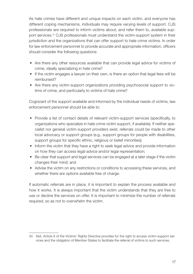As hate crimes have different and unique impacts on each victim, and everyone has different coping mechanisms, individuals may require varying levels of support. CJS professionals are required to inform victims about, and refer them to, available support services.34 CJS professionals must understand the victim-support system in their jurisdiction and the organizations that can offer support to hate crime victims. In order for law enforcement personnel to provide accurate and appropriate information, officers should consider the following questions:

- Are there any other resources available that can provide legal advice for victims of crime, ideally specializing in hate crime?
- If the victim engages a lawyer on their own, is there an option that legal fees will be reimbursed?
- Are there any victim-support organizations providing psychosocial support to victims of crime, and particularly to victims of hate crime?

Cognizant of the support available and informed by the individual needs of victims, law enforcement personnel should be able to:

- Provide a list of contact details of relevant victim-support services (specifically, to organizations who specialize in hate crime victim support, if available). If neither specialist nor general victim-support providers exist, referrals could be made to other local advocacy or support groups (e.g., support groups for people with disabilities, support groups for specific ethnic, religious or belief minorities);
- Inform the victim that they have a right to seek legal advice and provide information on how they can access legal advice and/or legal representation;
- Be clear that support and legal services can be engaged at a later stage if the victim changes their mind; and
- Advise the victim on any restrictions or conditions to accessing these services, and whether there are options available free of charge.

If automatic referrals are in place, it is important to explain the process available and how it works. It is always important that the victim understands that they are free to use or decline the services on offer. It is important to minimize the number of referrals required, so as not to overwhelm the victim.

<sup>34</sup> Ibid. Article 8 of the Victims' Rights Directive provides for the right to access victim-support services and the obligation of Member States to facilitate the referral of victims to such services.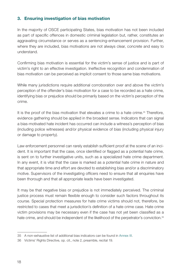#### <span id="page-19-0"></span>3. Ensuring investigation of bias motivation

In the majority of OSCE participating States, bias motivation has not been included as part of specific offences in domestic criminal legislation but, rather, constitutes an aggravating circumstance or serves as a sentencing-enhancement provision. Further, where they are included, bias motivations are not always clear, concrete and easy to understand.

Confirming bias motivation is essential for the victim's sense of justice and is part of victim's right to an effective investigation. Ineffective recognition and condemnation of bias motivation can be perceived as implicit consent to those same bias motivations.

While many jurisdictions require additional corroboration over and above the victim's perception of the offender's bias motivation for a case to be recorded as a hate crime, identifying bias or prejudice should be primarily based on the victim's perception of the crime.

It is the proof of the bias motivation that elevates a crime to a hate crime. $35$  Therefore, evidence gathering should be applied in the broadest sense. Indicators that can signal a bias-motivated hate incident has occurred can include a witness's perception of bias (including police witnesses) and/or physical evidence of bias (including physical injury or damage to property).

Law enforcement personnel can rarely establish sufficient proof at the scene of an incident. It is important that the case, once identified or flagged as a potential hate crime, is sent on to further investigative units, such as a specialized hate crime department. In any event, it is vital that the case is marked as a potential hate crime in nature and that appropriate time and effort are devoted to establishing bias and/or a discriminatory motive. Supervisors of the investigating officers need to ensure that all enquiries have been thorough and that all appropriate leads have been investigated.

It may be that negative bias or prejudice is not immediately perceived. The criminal justice process must remain flexible enough to consider such factors throughout its course. Special protection measures for hate crime victims should not, therefore, be restricted to cases that meet a jurisdiction's definition of a hate crime case. Hate crime victim provisions may be necessary even if the case has not yet been classified as a hate crime, and should be independent of the likelihood of the perpetrator's conviction.<sup>36</sup>

<sup>35</sup> A non-exhaustive list of additional bias indicators can be found in Annex III.

<sup>36</sup> Victims' Rights Directive, op. cit., note 2, preamble, recital 19.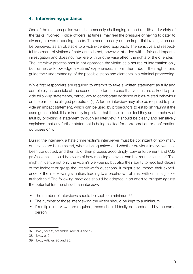#### <span id="page-20-0"></span>4. Interviewing guidance

One of the reasons police work is immensely challenging is the breadth and variety of the tasks involved. Police officers, at times, may feel the pressure of having to cater to diverse, or even opposing needs. The need to carry out an impartial investigation can be perceived as an obstacle to a victim-centred approach. The sensitive and respectful treatment of victims of hate crime is not, however, at odds with a fair and impartial investigation and does not interfere with or otherwise affect the rights of the offender.<sup>37</sup> The interview process should not approach the victim as a source of information only but, rather, acknowledge a victims' experiences, inform them about their rights, and guide their understanding of the possible steps and elements in a criminal proceeding.

While first responders are required to attempt to take a written statement as fully and completely as possible at the scene, it is often the case that victims are asked to provide follow-up statements, particularly to corroborate evidence of bias-related behaviour on the part of the alleged perpetrator(s). A further interview may also be required to provide an impact statement, which can be used by prosecutors to establish trauma if the case goes to trial. It is extremely important that the victim not feel they are somehow at fault by providing a statement through an interview; it should be clearly and sensitively explained that any further statement is being elicited for corroboration or confirmation purposes only.

During the interview, a hate crime victim's interviewer must be cognizant of how many questions are being asked, what is being asked and whether previous interviews have been conducted, and then tailor their process accordingly. Law enforcement and CJS professionals should be aware of how recalling an event can be traumatic in itself. This might influence not only the victim's well-being, but also their ability to recollect details of the incident or grasp the interviewer's questions. It might also impact their experience of the interviewing situation, leading to a breakdown of trust with criminal justice authorities.38 The following practices should be adopted in an effort to mitigate against the potential trauma of such an interview:

- The number of interviews should be kept to a minimum;<sup>39</sup>
- The number of those interviewing the victim should be kept to a minimum;
- If multiple interviews are required, these should ideally be conducted by the same person;

<sup>37</sup> Ibid., note 2, preamble, recital 9 and 12.

<sup>38</sup> Ibid., p. 2-4

<sup>39</sup> Ibid., Articles 20 and 23.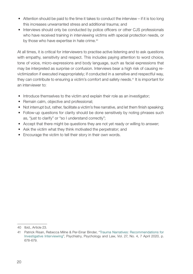- Attention should be paid to the time it takes to conduct the interview if it is too long this increases unwarranted stress and additional trauma; and
- Interviews should only be conducted by police officers or other CJS professionals who have received training in interviewing victims with special protection needs, or by those who have expertise in hate crime.<sup>40</sup>

At all times, it is critical for interviewers to practise active listening and to ask questions with empathy, sensitivity and respect. This includes paying attention to word choice, tone of voice, micro-expressions and body language, such as facial expressions that may be interpreted as surprise or confusion. Interviews bear a high risk of causing revictimization if executed inappropriately; if conducted in a sensitive and respectful way, they can contribute to ensuring a victim's comfort and safety needs.41 It is important for an interviewer to:

- Introduce themselves to the victim and explain their role as an investigator;
- Remain calm, objective and professional;
- Not interrupt but, rather, facilitate a victim's free narrative, and let them finish speaking;
- Follow-up questions for clarity should be done sensitively by noting phrases such as, "just to clarify" or "so I understand correctly";
- Accept that there might be questions they are not yet ready or willing to answer;
- Ask the victim what they think motivated the perpetrator; and
- Encourage the victim to tell their story in their own words.

<sup>40</sup> Ibid., Article 23.

<sup>41</sup> Patrick Risan, Rebecca Milne & Per-Einar Binder, "[Trauma Narratives: Recommendations for](https://www.tandfonline.com/doi/full/10.1080/13218719.2020.1742237)  [Investigative Interviewing"](https://www.tandfonline.com/doi/full/10.1080/13218719.2020.1742237), Psychiatry, Psychology and Law, Vol. 27, No. 4, 7 April 2020, p. 678-679.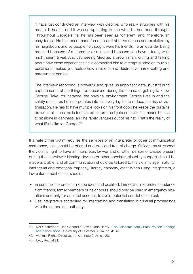"I have just conducted an interview with George, who really struggles with his mental ill-health, and it was so upsetting to see what he has been through. Throughout George's life, he has been seen as 'different' and, therefore, an easy target. He has been made fun of, called abusive names and exploited by his neighbours and by people he thought were his friends. To an outsider being mocked because of a stammer or mimicked because you have a funny walk might seem trivial. And yet, seeing George, a grown man, crying and talking about how these experiences have compelled him to attempt suicide on multiple occasions, makes you realize how insidious and destructive name-calling and harassment can be.

The interview recording is powerful and gives us important data, but it fails to capture some of the things I've observed during the course of getting to know George. Take, for instance, the physical environment George lives in and the safety measures he incorporates into his everyday life to reduce the risk of victimization. He has to have multiple locks on his front door; he keeps the curtains drawn at all times; he is too scared to turn the lights on, even if it means he has to sit alone in darkness; and he rarely ventures out of his flat. That's the reality of what life is like for George."42

If a hate crime victim requires the services of an interpreter or other communication assistance, this should be offered and provided free of charge. Officers must respect the victim's right to have an interpreter, lawyer and/or other person of choice present during the interview.43 Hearing devices or other specialist disability support should be made available, and all communication should be tailored to the victim's age, maturity, intellectual and emotional capacity, literacy capacity, etc.<sup>44</sup> When using interpreters, a law enforcement officer should:

- Ensure the interpreter is independent and qualified. Immediate interpreter assistance from friends, family members or neighbours should only be used in emergency situations and only for an initial account, to avoid potential conflict of interest;
- Use interpreters accredited for interpreting and translating in criminal proceedings with the competent authority;

<sup>42</sup> Neil Chakraborti, Jon Garland & Stevie-Jade Hardy, ["The Leicester Hate Crime Project: Findings](https://le.ac.uk/hate-studies/research/the-leicester-hate-crime-project/our-reports) [and conclusions](https://le.ac.uk/hate-studies/research/the-leicester-hate-crime-project/our-reports)", University of Leicester, 2014, pp. 41-42.

<sup>43</sup> Victims' Rights Directive, op. cit., note 2, Article 20.

<sup>44</sup> Ibid., Recital 21.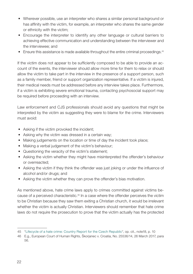- Wherever possible, use an interpreter who shares a similar personal background or has affinity with the victim, for example, an interpreter who shares the same gender or ethnicity with the victim;
- Encourage the interpreter to identify any other language or cultural barriers to achieving effective communication and understanding between the interviewer and the interviewee; and
- Ensure this assistance is made available throughout the entire criminal proceedings.<sup>45</sup>

If the victim does not appear to be sufficiently composed to be able to provide an account of the events, the interviewer should allow more time for them to relax or should allow the victim to take part in the interview in the presence of a support person, such as a family member, friend or support organization representative. If a victim is injured, their medical needs must be addressed before any interview takes place. Furthermore, if a victim is exhibiting severe emotional trauma, contacting psychosocial support may be required before proceeding with an interview.

Law enforcement and CJS professionals should avoid any questions that might be interpreted by the victim as suggesting they were to blame for the crime. Interviewers must avoid:

- Asking if the victim provoked the incident;
- Asking why the victim was dressed in a certain way;
- Making judgements on the location or time of day the incident took place;
- Making a verbal judgement of the victim's behaviour;
- Questioning the veracity of the victim's statement;
- Asking the victim whether they might have misinterpreted the offender's behaviour or overreacted;
- Asking the victim if they think the offender was just joking or under the influence of alcohol and/or drugs; and
- Asking the victim whether they can prove the offender's bias motivation.

As mentioned above, hate crime laws apply to crimes committed against victims because of a perceived characteristic.46 In a case where the offender perceives the victim to be Christian because they saw them exiting a Christian church, it would be irrelevant whether the victim is actually Christian. Interviewers should remember that hate crime laws do not require the prosecution to prove that the victim actually has the protected

<sup>45</sup> "[Lifecycle of a hate crime: Country Report for the Czech Republic"](https://www.iccl.ie/wp-content/uploads/2018/10/Life-Cycle-of-a-Hate-Crime-Country-Report-for-Czech-Republic-English.pdf), op. cit., note18, p. 10

<sup>46</sup> E.g., European Court of Human Rights, Škorjanec v. Croatia, No. 25536/14, 26 March 2017, para 56.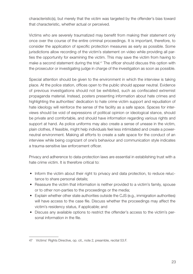characteristic(s), but merely that the victim was targeted by the offender's bias toward that characteristic, whether actual or perceived.

Victims who are severely traumatized may benefit from making their statement only once over the course of the entire criminal proceedings. It is important, therefore, to consider the application of specific protection measures as early as possible. Some jurisdictions allow recording of the victim's statement on video while providing all parties the opportunity for examining the victim. This may save the victim from having to make a second statement during the trial.<sup>47</sup> The officer should discuss this option with the prosecutor or investigating judge in charge of the investigation as soon as possible.

Special attention should be given to the environment in which the interview is taking place. At the police station, offices open to the public should appear neutral. Evidence of previous investigations should not be exhibited, such as confiscated extremist propaganda material. Instead, posters presenting information about hate crimes and highlighting the authorities' dedication to hate crime victim support and repudiation of hate ideology will reinforce the sense of the facility as a safe space. Spaces for interviews should be void of expressions of political opinion or ideological stance, should be private and comfortable, and should have information regarding various rights and support at hand. As police uniforms may also create a sense of unease in the victim, plain clothes, if feasible, might help individuals feel less intimidated and create a powerneutral environment. Making all efforts to create a safe space for the conduct of an interview while being cognizant of one's behaviour and communication style indicates a trauma-sensitive law enforcement officer.

Privacy and adherence to data-protection laws are essential in establishing trust with a hate crime victim. It is therefore critical to:

- Inform the victim about their right to privacy and data protection, to reduce reluctance to share personal details;
- Reassure the victim that information is neither provided to a victim's family, spouse or to other non-parties to the proceedings or the media;
- Explain whether other state authorities outside the CJS (e.g., immigration authorities) will have access to the case file. Discuss whether the proceedings may affect the victim's residency status, if applicable; and
- Discuss any available options to restrict the offender's access to the victim's personal information in the file.

<sup>47</sup> Victims' Rights Directive, op. cit., note 2, preamble, recital 53.F.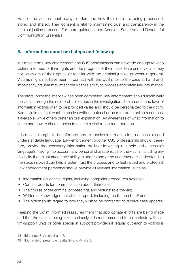<span id="page-25-0"></span>Hate crime victims must always understand how their data are being processed, stored and shared. Their consent is vital to maintaining trust and transparency in the criminal justice process. (For more guidance, see Annex II: Sensitive and Respectful Communication Essentials.)

#### 5. Information about next steps and follow up

In simple terms, law enforcement and CJS professionals can never do enough to keep victims informed of their rights and the progress of their case. Hate crime victims may not be aware of their rights, or familiar with the criminal justice process in general. Victims might not have been in contact with the CJS prior to the case at hand and, importantly, trauma may affect the victim's ability to process and retain key information.

Therefore, once the interview has been completed, law enforcement should again walk the victim through the next probable steps in the investigation. The amount and level of information victims wish to be provided varies and should be personalized to the victim. Some victims might want to receive written material or be referred to online resources, if available, while others prefer an oral explanation. An awareness of what information to share and how to share it helps to ensure a victim-centred approach.

It is a victim's right to be informed and to receive information in an accessible and understandable language. Law enforcement or other CJS professionals should, therefore, provide the necessary information orally or in writing in simple and accessible language(s), taking into account any personal characteristics of the victim, including any disability that might affect their ability to understand or be understood.48 Understanding the steps involved can help a victim trust the process and to feel valued and protected. Law enforcement personnel should provide all relevant information, such as:

- Information on victims' rights, including complaint procedures available;
- Contact details for communication about their case;
- The course of the criminal proceedings and victims' role therein;
- Written acknowledgement of their report, including the file number;<sup>49</sup> and
- The options with regard to how they wish to be contacted to receive case updates.

Keeping the victim informed reassures them that appropriate efforts are being made and that the case is being taken seriously. It is recommended to co-ordinate with victim-support units or other specialist support providers if regular outreach to victims is

<sup>48</sup> Ibid., note 3, Article 3 and 7.

<sup>49</sup> Ibid., note 3, preamble, recital 24 and Article 5.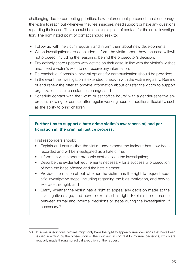challenging due to competing priorities. Law enforcement personnel must encourage the victim to reach out whenever they feel insecure, need support or have any questions regarding their case. There should be one single point of contact for the entire investigation. The nominated point of contact should seek to:

- Follow up with the victim regularly and inform them about new developments;
- When investigations are concluded, inform the victim about how the case will/will not proceed, including the reasoning behind the prosecutor's decision;
- Pro-actively share updates with victims on their case, in line with the victim's wishes and, heed a victim's wish to not receive any information;
- Be reachable. If possible, several options for communication should be provided;
- In the event the investigation is extended, check in with the victim regularly. Remind of and renew the offer to provide information about or refer the victim to support organizations as circumstances change; and
- Schedule contact with the victim or set "office hours" with a gender-sensitive approach, allowing for contact after regular working hours or additional flexibility, such as the ability to bring children.

#### Further tips to support a hate crime victim's awareness of, and participation in, the criminal justice process:

First responders should:

- Explain and ensure that the victim understands the incident has now been recorded and will be investigated as a hate crime;
- Inform the victim about probable next steps in the investigation;
- Describe the evidential requirements necessary for a successful prosecution of both the base offence and the hate element;
- Provide information about whether the victim has the right to request specific investigative steps, including regarding the bias motivation, and how to exercise this right; and
- Clarify whether the victim has a right to appeal any decision made at the investigative stage, and how to exercise this right. Explain the difference between formal and informal decisions or steps during the investigation, if necessary.<sup>50</sup>

<sup>50</sup> In some jurisdictions, victims might only have the right to appeal formal decisions that have been issued in writing by the prosecution or the judiciary, in contrast to informal decisions, which are regularly made through practical execution of the request.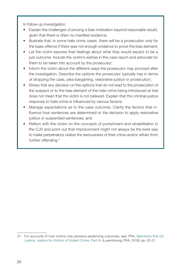In follow-up investigation:

- Explain the challenges of proving a bias motivation beyond reasonable doubt, given that there is often no manifest evidence;
- Illustrate that, in some hate crime cases, there will be a prosecution only for the base offence if there was not enough evidence to prove the bias element;
- Let the victim express their feelings about what they would expect to be a just outcome. Include the victim's wishes in the case report and advocate for them to be taken into account by the prosecutor;
- Inform the victim about the different ways the prosecutor may proceed after the investigation. Describe the options the prosecutor typically has in terms of dropping the case, plea-bargaining, restorative justice or prosecution;
- Stress that any decision on the options that do not lead to the prosecution of the suspect or to the bias element of the hate crime being introduced at trial does not mean that the victim is not believed. Explain that the criminal justice response to hate crime is influenced by various factors;
- Manage expectations as to the case outcome. Clarify the factors that influence how sentences are determined or the decision to apply restorative justice or suspended sentences; and
- Reflect with the victim on the concepts of punishment and rehabilitation in the CJS and point out that imprisonment might not always be the best way to make perpetrators realize the seriousness of their crime and/or refrain from further offending.<sup>51</sup>

<sup>51</sup> For accounts of how victims may perceive sentencing outcomes, see: FRA, [Sanctions that Do](https://fra.europa.eu/en/publication/2019/sanctions-do-justice-justice-victims-violent-crime-part-iii)  [Justice. Justice for Victims of Violent Crime. Part III,](https://fra.europa.eu/en/publication/2019/sanctions-do-justice-justice-victims-violent-crime-part-iii) (Luxembourg: FRA, 2019), pp. 20-21.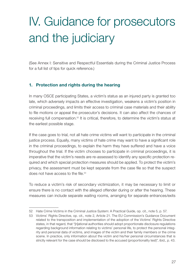### <span id="page-28-0"></span>IV. Guidance for prosecutors and the judiciary

(See Annex I: Sensitive and Respectful Essentials during the Criminal Justice Process for a full list of tips for quick reference.)

#### 1. Protection and rights during the hearing

In many OSCE participating States, a victim's status as an injured party is granted too late, which adversely impacts an effective investigation, weakens a victim's position in criminal proceedings, and limits their access to criminal case materials and their ability to file motions or appeal the prosecutor's decisions. It can also affect the chances of receiving full compensation.52 It is critical, therefore, to determine the victim's status at the earliest possible stage.

If the case goes to trial, not all hate crime victims will want to participate in the criminal justice process. Equally, many victims of hate crime may want to have a significant role in the criminal proceedings, to explain the harm they have suffered and have a voice throughout the trial. If the victim chooses to participate in criminal proceedings, it is imperative that the victim's needs are re-assessed to identify any specific protection required and which special protection measures should be applied. To protect the victim's privacy, the assessment must be kept separate from the case file so that the suspect does not have access to the file.<sup>53</sup>

To reduce a victim's risk of secondary victimization, it may be necessary to limit or ensure there is no contact with the alleged offender during or after the hearing. These measures can include separate waiting rooms, arranging for separate entrances/exits

<sup>52</sup> [Hate Crime Victims in the Criminal Justice System: A Practical Guide,](https://www.osce.org/odihr/447028) op. cit., note 5, p. 57.

<sup>53</sup> Victims' Rights Directive, op. cit., note 2, Article 21. The EU Commission's Guidance Document related to the transposition and implementation of the adoption of the Victims' Rights Directive states, in that regard, that "[n]ational authorities should adopt proportionate disclosure regulations regarding background information relating to victims' personal life, to protect the personal integrity and personal data of victims, and images of the victim and their family members or the crime scene. In practice, only information about the victim and his/her personal circumstances that is strictly relevant for the case should be disclosed to the accused (proportionality test)", ibid., p. 43.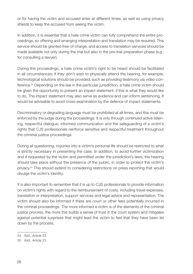or for having the victim and accused enter at different times, as well as using privacy shields to keep the accused from seeing the victim.

In addition, it is essential that a hate crime victim can fully comprehend the entire proceedings, so offering and arranging interpretation and translation may be required. This service should be granted free-of-charge, and access to translation services should be made available not only during the trial but also in the pre-trial preparation phase (e.g., for consulting a lawyer).

During the proceedings, a hate crime victim's right to be heard should be facilitated in all circumstances; if they don't wish to physically attend the hearing, for example, technological solutions should be provided, such as providing testimony via video conference.54 Depending on the law in the particular jurisdiction, a hate crime victim should be given the opportunity to present an impact statement, if this is what they would like to do. The impact statement may also serve as evidence and can inform sentencing. It would be advisable to avoid cross-examination by the defence of impact statements.

Discriminatory or degrading language must be prohibited at all times, and this must be enforced by the judge during the proceedings. It is only through continued active listening, respectful dialogue, informed communication and the safeguarding of a victim's rights that CJS professionals reinforce sensitive and respectful treatment throughout the criminal justice proceedings.

During all questioning, inquiries into a victim's personal life should be restricted to what is strictly necessary in presenting the case. In addition, to avoid further victimization and if requested by the victim and permitted under the jurisdiction's laws, the hearing should take place without the presence of the public, in order to protect the victim's privacy.55 This should extend to considering restrictions on press reporting that would divulge the victim's identity.

It is also important to remember that it is up to CJS professionals to provide information on victim's rights with regard to the reimbursement of costs, including travel expenses, translation or interpretation, support services and legal advice and representation. The victim should also be informed if there are court or other fees potentially incurred in the criminal proceedings. The more informed a victim is of the elements of the criminal justice process, the more this builds a sense of trust in the court system and mitigates against potential surprises that might lead the victim to feel that they have been let down by the process.

<sup>54</sup> Ibid., Article 23.

<sup>55</sup> Ibid., Article 23.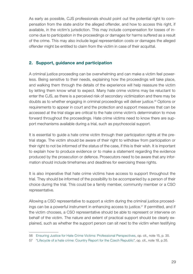<span id="page-30-0"></span>As early as possible, CJS professionals should point out the potential right to compensation from the state and/or the alleged offender, and how to access this right, if available, in the victim's jurisdiction. This may include compensation for losses of income due to participation in the proceedings or damages for harms suffered as a result of the crime. This may also include legal representation costs or damages the alleged offender might be entitled to claim from the victim in case of their acquittal.

#### 2. Support, guidance and participation

A criminal justice proceeding can be overwhelming and can make a victim feel powerless. Being sensitive to their needs, explaining how the proceedings will take place, and walking them through the details of the experience will help reassure the victim by letting them know what to expect. Many hate crime victims may be reluctant to enter the CJS, as there is a perceived risk of secondary victimization and there may be doubts as to whether engaging in criminal proceedings will deliver justice.56 Options or requirements to appear in court and the protection and support measures that can be accessed at the trial stage are critical to the hate crime victim's determination to move forward throughout the proceedings. Hate crime victims need to know there are support mechanisms available during a trial, such as psychosocial support.

It is essential to guide a hate crime victim through their participation rights at the pretrial stage. The victim should be aware of their right to withdraw from participation or their right to not be informed of the status of the case, if this is their wish. It is important to explain how to produce evidence or to make a statement regarding the evidence produced by the prosecution or defence. Prosecutors need to be aware that any information should include timeframes and deadlines for exercising these rights.

It is also imperative that hate crime victims have access to support throughout the trial. They should be informed of the possibility to be accompanied by a person of their choice during the trial. This could be a family member, community member or a CSO representative.

Allowing a CSO representative to support a victim during the criminal justice proceedings can be a powerful instrument in enhancing access to justice.<sup>57</sup> If permitted, and if the victim chooses, a CSO representative should be able to represent or intervene on behalf of the victim. The nature and extent of practical support should be clearly explained, such as whether the support person can sit next to the victim when testifying

<sup>56</sup> [Ensuring Justice for Hate Crime Victims: Professional Perspectives,](https://fra.europa.eu/sites/default/files/fra_uploads/fra-2016-justice-hate_crime-victims_en.pdf) op. cit., note 15, p. 35.

<sup>57</sup> "[Lifecycle of a hate crime: Country Report for the Czech Republic](https://www.iccl.ie/wp-content/uploads/2018/10/Life-Cycle-of-a-Hate-Crime-Country-Report-for-Czech-Republic-English.pdf)", op. cit., note 18, p.35.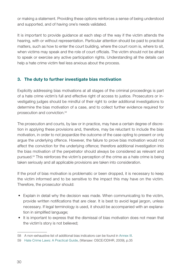<span id="page-31-0"></span>or making a statement. Providing these options reinforces a sense of being understood and supported, and of having one's needs validated.

It is important to provide guidance at each step of the way if the victim attends the hearing, with or without representation. Particular attention should be paid to practical matters, such as how to enter the court building, where the court room is, where to sit, when victims may speak and the role of court officials. The victim should not be afraid to speak or exercise any active participation rights. Understanding all the details can help a hate crime victim feel less anxious about the process.

#### 3. The duty to further investigate bias motivation

Explicitly addressing bias motivations at all stages of the criminal proceedings is part of a hate crime victim's full and effective right of access to justice. Prosecutors or investigating judges should be mindful of their right to order additional investigations to determine the bias motivation of a case, and to collect further evidence required for prosecution and conviction.58

The prosecution and courts, by law or in practice, may have a certain degree of discretion in applying these provisions and, therefore, may be reluctant to include the bias motivation, in order to not jeopardize the outcome of the case opting to present or only argue the underlying offence. However, the failure to prove bias motivation would not affect the conviction for the underlying offence; therefore additional investigation into the bias motivation of the perpetrator should always be considered as relevant and pursued.59 This reinforces the victim's perception of the crime as a hate crime is being taken seriously and all applicable provisions are taken into consideration.

If the proof of bias motivation is problematic or been dropped, it is necessary to keep the victim informed and to be sensitive to the impact this may have on the victim. Therefore, the prosecutor should:

- Explain in detail why the decision was made. When communicating to the victim, provide written notifications that are clear. It is best to avoid legal jargon, unless necessary. If legal terminology is used, it should be accompanied with an explanation in simplified language;
- It is important to express that the dismissal of bias motivation does not mean that the victim's story is not believed;

<sup>58</sup> A non-exhaustive list of additional bias indicators can be found in Annex III.

<sup>59</sup> [Hate Crime Laws: A Practical Guide,](https://www.osce.org/odihr/36426) (Warsaw: OSCE/ODIHR, 2009), p.35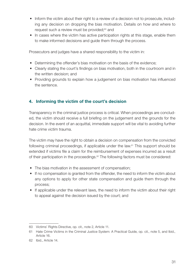- <span id="page-32-0"></span>• Inform the victim about their right to a review of a decision not to prosecute, including any decision on dropping the bias motivation. Details on how and where to request such a review must be provided;<sup>60</sup> and
- In cases where the victim has active participation rights at this stage, enable them to make informed decisions and guide them through the process.

Prosecutors and judges have a shared responsibility to the victim in:

- Determining the offender's bias motivation on the basis of the evidence;
- Clearly stating the court's findings on bias motivation, both in the courtroom and in the written decision; and
- Providing grounds to explain how a judgement on bias motivation has influenced the sentence.

#### 4. Informing the victim of the court's decision

Transparency in the criminal justice process is critical. When proceedings are concluded, the victim should receive a full briefing on the judgement and the grounds for the decision. In the event of an acquittal, immediate support will be vital to avoiding further hate crime victim trauma.

The victim may have the right to obtain a decision on compensation from the convicted following criminal proceedings, if applicable under the law. $61$  This support should be extended if victims file a claim for the reimbursement of expenses incurred as a result of their participation in the proceedings.<sup>62</sup> The following factors must be considered:

- The bias motivation in the assessment of compensation;
- If no compensation is granted from the offender, the need to inform the victim about any options to apply for other state compensation and guide them through the process;
- If applicable under the relevant laws, the need to inform the victim about their right to appeal against the decision issued by the court; and

<sup>60</sup> Victims' Rights Directive, op. cit., note 2, Article 11.

<sup>61</sup> [Hate Crime Victims in the Criminal Justice System: A Practical Guide,](https://www.osce.org/odihr/447028) op. cit., note 5, and Ibid., Article 16.

<sup>62</sup> Ibid., Article 14.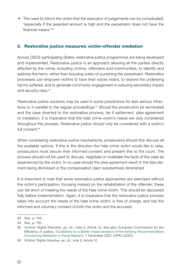<span id="page-33-0"></span>• The need to inform the victim that the execution of judgements can be complicated; "especially if the awarded amount is high and the perpetrator does not have the financial means."63

#### 5. Restorative justice measures: victim-offender mediation

Across OSCE participating States, restorative justice programmes are being developed and implemented. Restorative justice is an approach allowing all the parties directly affected by the crime, including victims, offenders and communities, to identify and address the harm, rather than focusing solely on punishing the perpetrator. Restorative processes can empower victims to have their voices heard, to explore the underlying harms suffered, and to generate community engagement in reducing secondary impact and security risks.<sup>64</sup>

Restorative justice solutions may be used in some jurisdictions for less serious infractions or in parallel to the regular proceedings.<sup>65</sup> Should the prosecution be terminated and the case diverted to the restorative process, be it settlement, plea agreement or mediation, it is imperative that the hate crime victim's needs are duly considered throughout this process. Restorative justice should only be considered with a victim's full consent.<sup>66</sup>

When considering restorative justice mechanisms, prosecutors should first discuss all the available options. If this is the direction the hate crime victim would like to take, prosecutors must secure their informed consent and present this to the court. The process should not be used to discuss, negotiate or invalidate the facts of the case as experienced by the victim. In no case should the plea agreement result in the bias element being dismissed or the compensation claim substantively diminished.

It is important to note that some restorative justice approaches are exercised without the victim's participation, focusing instead on the rehabilitation of the offender; these can fall short of meeting the needs of the hate crime victim. This should be discussed fully before implementation. Again, it is imperative that the restorative justice process takes into account the needs of the hate crime victim, is free of charge, and has the informed and voluntary consent of both the victim and the accused.

<sup>63</sup> Ibid., p. 149.

<sup>64</sup> Ibid., p. 155.

<sup>65</sup> Victims' Rights Directive, op. cit., note 2, Article 12. See also, European Commission for the Efficiency of Justice, ["Guidelines for a Better Implementation of the Existing Recommendation](https://rm.coe.int/1680747759)  [Concerning Mediation in Penal Matters](https://rm.coe.int/1680747759)", 7 December 2007, CEPEJ (2007).

<sup>66</sup> Victims' Rights Directive, op. cit., note 2, Article 12.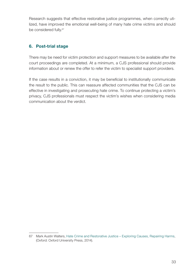<span id="page-34-0"></span>Research suggests that effective restorative justice programmes, when correctly utilized, have improved the emotional well-being of many hate crime victims and should be considered fully.<sup>67</sup>

#### 6. Post-trial stage

There may be need for victim protection and support measures to be available after the court proceedings are completed. At a minimum, a CJS professional should provide information about or renew the offer to refer the victim to specialist support providers.

If the case results in a conviction, it may be beneficial to institutionally communicate the result to the public. This can reassure affected communities that the CJS can be effective in investigating and prosecuting hate crime. To continue protecting a victim's privacy, CJS professionals must respect the victim's wishes when considering media communication about the verdict.

<sup>67</sup> Mark Austin Walters, [Hate Crime and Restorative Justice – Exploring Causes, Repairing Harms,](https://oxford.universitypressscholarship.com/view/10.1093/acprof:oso/9780199684496.001.0001/acprof-9780199684496) (Oxford: Oxford University Press, 2014).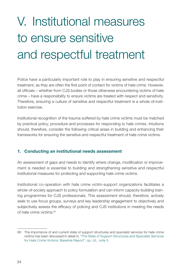# <span id="page-35-0"></span>V. Institutional measures to ensure sensitive and respectful treatment

Police have a particularly important role to play in ensuring sensitive and respectful treatment, as they are often the first point of contact for victims of hate crime. However, all officials – whether from CJS bodies or those otherwise encountering victims of hate crime – have a responsibility to ensure victims are treated with respect and sensitivity. Therefore, ensuring a culture of sensitive and respectful treatment is a whole-of-institution exercise.

Institutional recognition of the trauma suffered by hate crime victims must be matched by practical policy, procedure and processes for responding to hate crimes. Intuitions should, therefore, consider the following critical areas in building and enhancing their frameworks for ensuring the sensitive and respectful treatment of hate crime victims.

#### 1. Conducting an institutional needs assessment

An assessment of gaps and needs to identify where change, modification or improvement is needed is essential to building and strengthening sensitive and respectful institutional measures for protecting and supporting hate crime victims.

Institutional co-operation with hate crime victim-support organizations facilitates a whole-of-society approach to policy formulation and can inform capacity-building training programmes for CJS professionals. This assessment should, therefore, actively seek to use focus groups, surveys and key leadership engagement to objectively and subjectively assess the efficacy of policing and CJS institutions in meeting the needs of hate crime victims.<sup>68</sup>

<sup>68</sup> The importance of and current state of support structures and specialist services for hate crime victims has been discussed in detail in, ["The State of Support Structures and Specialist Services](https://www.osce.org/odihr/467916)  [for Hate Crime Victims: Baseline Report"](https://www.osce.org/odihr/467916), op. cit., note 5.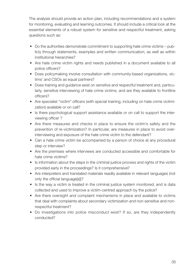The analysis should provide an action plan, including recommendations and a system for monitoring, evaluating and learning outcomes. It should include a critical look at the essential elements of a robust system for sensitive and respectful treatment, asking questions such as:

- Do the authorities demonstrate commitment to supporting hate crime victims publicly through statements, examples and written communication, as well as within institutional hierarchies?
- Are hate crime victim rights and needs published in a document available to all police officers?
- Does policymaking involve consultation with community-based organizations, victims' and CSOs as equal partners?
- Does training and guidance exist on sensitive and respectful treatment and, particularly, sensitive interviewing of hate crime victims, and are they available to frontline officers?
- Are specialist "victim" officers (with special training, including on hate crime victimization) available or on call?
- Is there psychological support assistance available or on call to support the interviewing officer ?
- Are there measures and checks in place to ensure the victim's safety and the prevention of re-victimization? In particular, are measures in place to avoid overinterviewing and exposure of the hate crime victim to the defendant?
- Can a hate crime victim be accompanied by a person of choice at any procedural step or interview?
- Are the premises where interviews are conducted accessible and comfortable for hate crime victims?
- Is information about the steps in the criminal justice process and rights of the victim provided early in the proceedings? Is it comprehensive?
- Are interpreters and translated materials readily available in relevant languages (not only the official language[s])?
- Is the way a victim is treated in the criminal justice system monitored, and is data collected and used to improve a victim-centred approach by the police?
- Are there oversight and complaint mechanisms in place and available to victims that deal with complaints about secondary victimization and non-sensitive and nonrespectful treatment?
- Do investigations into police misconduct exist? If so, are they independently conducted?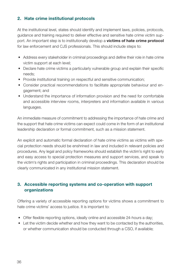#### <span id="page-37-0"></span>2. Hate crime institutional protocols

At the institutional level, states should identify and implement laws, policies, protocols, guidance and training required to deliver effective and sensitive hate crime victim support. An important step is to institutionally develop a **victims of hate crime protocol** for law enforcement and CJS professionals. This should include steps to:

- Address every stakeholder in criminal proceedings and define their role in hate crime victim support at each level;
- Declare hate crime victims a particularly vulnerable group and explain their specific needs;
- Provide institutional training on respectful and sensitive communication;
- Consider practical recommendations to facilitate appropriate behaviour and engagement; and
- Understand the importance of information provision and the need for comfortable and accessible interview rooms, interpreters and information available in various languages.

An immediate measure of commitment to addressing the importance of hate crime and the support that hate crime victims can expect could come in the form of an institutional leadership declaration or formal commitment, such as a mission statement.

An explicit and automatic formal declaration of hate crime victims as victims with special protection needs should be enshrined in law and included in relevant policies and procedures. Any legal and policy frameworks should establish the victim's right to early and easy access to special protection measures and support services, and speak to the victim's rights and participation in criminal proceedings. This declaration should be clearly communicated in any institutional mission statement.

#### 3. Accessible reporting systems and co-operation with support organizations

Offering a variety of accessible reporting options for victims shows a commitment to hate crime victims' access to justice. It is important to:

- Offer flexible reporting options, ideally online and accessible 24-hours a day;
- Let the victim decide whether and how they want to be contacted by the authorities, or whether communication should be conducted through a CSO, if available;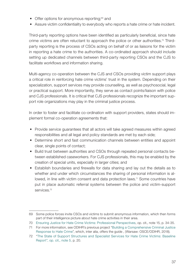- Offer options for anonymous reporting;<sup>69</sup> and
- Assure victim confidentiality to everybody who reports a hate crime or hate incident.

Third-party reporting options have been identified as particularly beneficial, since hate crime victims are often reluctant to approach the police or other authorities.<sup>70</sup> Thirdparty reporting is the process of CSOs acting on behalf of or as liaisons for the victim in reporting a hate crime to the authorities. A co-ordinated approach should include setting up dedicated channels between third-party reporting CSOs and the CJS to facilitate workflows and information sharing.

Multi-agency co-operation between the CJS and CSOs providing victim support plays a critical role in reinforcing hate crime victims' trust in the system. Depending on their specialization, support services may provide counselling, as well as psychosocial, legal or practical support. More importantly, they serve as contact points/liaison with police and CJS professionals. It is critical that CJS professionals recognize the important support role organizations may play in the criminal justice process.

In order to foster and facilitate co-ordination with support providers, states should implement formal co-operation agreements that:

- Provide service guarantees that all actors will take agreed measures within agreed responsibilities and all legal and policy standards are met by each side;
- Determine short and fast communication channels between entities and appoint clear, single points of contact;
- Build trust between authorities and CSOs through repeated personal contacts between established caseworkers. For CJS professionals, this may be enabled by the creation of special units, especially in larger cities; and
- Establish boundaries and firewalls for data sharing and lay out the details as to whether and under which circumstances the sharing of personal information is allowed, in line with victim consent and data protection laws.<sup>71</sup> Some countries have put in place automatic referral systems between the police and victim-support services<sup>72</sup>

<sup>69</sup> Some police forces invite CSOs and victims to submit anonymous information, which then forms part of their intelligence picture about hate crime activities in their area.

<sup>70</sup> [Ensuring Justice for Hate Crime Victims: Professional Perspectives,](https://fra.europa.eu/sites/default/files/fra_uploads/fra-2016-justice-hate_crime-victims_en.pdf) op. cit., note 15, p. 34-35.

<sup>71</sup> For more information, see ODIHR's previous project "[Building a Comprehensive Criminal Justice](https://www.osce.org/projects/criminal-justice-response-hate-crime) [Response to Hate Crime](https://www.osce.org/projects/criminal-justice-response-hate-crime)", which, inter alia, offers the guide , (Warsaw: OSCE/ODIHR, 2018).

<sup>72</sup> "[The State of Support Structures and Specialist Services for Hate Crime Victims: Baseline](https://www.osce.org/odihr/467916)  [Report](https://www.osce.org/odihr/467916)", op. cit., note 5, p. 20.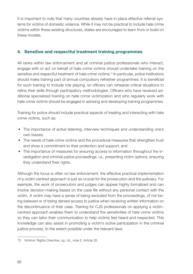<span id="page-39-0"></span>It is important to note that many countries already have in place effective referral systems for victims of domestic violence. While it may not be practical to include hate crime victims within these existing structures, states are encouraged to learn from or build on these models.

#### 4. Sensitive and respectful treatment training programmes

All ranks within law enforcement and all criminal justice professionals who interact, engage with or act on behalf of hate crime victims should undertake training on the sensitive and respectful treatment of hate crime victims.<sup>73</sup> In particular, police institutions should make training part of annual compulsory refresher programmes. It is beneficial for such training to include role playing, so officers can rehearse critical situations to refine their skills through participatory methodologies. Officers who have received additional specialized training on hate crime victimization and who regularly work with hate crime victims should be engaged in advising and developing training programmes.

Training for police should include practical aspects of treating and interacting with hate crime victims, such as:

- The importance of active listening, interview techniques and understanding one's own biases;
- The needs of hate crime victims and the procedural measures that strengthen trust and show a commitment to their protection and support; and
- The importance of measures for ensuring access to information throughout the investigation and criminal justice proceedings, i.e., presenting victim options, ensuring they understand their rights.

Although the focus is often on law enforcement, the effective practical implementation of a victim-centred approach is just as crucial for the prosecution and the judiciary. For example, the work of prosecutors and judges can appear highly formalized and can involve decision-making based on the case file without any personal contact with the victim. A victim may have a sense of being excluded from the proceedings, of not being believed or of being denied access to justice when receiving written information on the discontinuance of their case. Training for CJS professionals on applying a victimcentred approach enables them to understand the sensitivities of hate crime victims so they can tailor their communication to help victims feel heard and respected. This knowledge can also assist in promoting a victim's active participation in the criminal justice process, to the extent possible under the relevant laws.

<sup>73</sup> Victims' Rights Directive, op. cit., note 2, Article 25.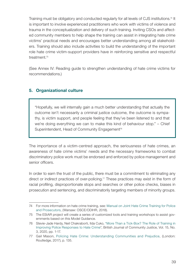<span id="page-40-0"></span>Training must be obligatory and conducted regularly for all levels of CJS institutions.<sup>74</sup> It is important to involve experienced practitioners who work with victims of violence and trauma in the conceptualization and delivery of such training. Inviting CSOs and affected community members to help shape the training can assist in integrating hate crime victims' practical needs and encourages better understanding among all stakeholders. Training should also include activities to build the understanding of the important role hate crime victim-support providers have in reinforcing sensitive and respectful treatment.75

(See Annex IV: Reading guide to strengthen understanding of hate crime victims for recommendations.)

#### 5. Organizational culture

"Hopefully, we will internally gain a much better understanding that actually the outcome isn't necessarily a criminal justice outcome, the outcome is sympathy, is victim support, and people feeling that they've been listened to and that we're doing everything we can to make this kind of behaviour stop." – Chief Superintendent, Head of Community Engagement<sup>76</sup>

The importance of a victim-centred approach, the seriousness of hate crimes, an awareness of hate crime victims' needs and the necessary frameworks to combat discriminatory police work must be endorsed and enforced by police management and senior officers.

In order to earn the trust of the public, there must be a commitment to eliminating any direct or indirect practices of over-policing.<sup>77</sup> These practices may exist in the form of racial profiling, disproportionate stops and searches or other police checks, biases in prosecution and sentencing, and discriminatorily targeting members of minority groups.

<sup>74</sup> For more information on hate crime training, see: [Manual on Joint Hate Crime Training for Police](https://www.osce.org/odihr/402296) [and Prosecutors](https://www.osce.org/odihr/402296), (Warsaw: OSCE/ODIHR, 2018).

<sup>75</sup> The EStAR project will create a series of customized tools and training workshops to assist governments based on this Model Guidance.

<sup>76</sup> Stevie-Jade Hardy, Neil Chakraborti, Ilda Cuko, ["More Than a Tick-Box? The Role of Training in](https://www.mmuperu.co.uk/assets/uploads/bjcj_files/Hardy_Chakraborti_Cuko_2020_More_Than_a_Tick_Box_The_Role_of_Training_in_Improving_Police_Responses_to_Hate_Crime.pdf) [Improving Police Responses to Hate Crime](https://www.mmuperu.co.uk/assets/uploads/bjcj_files/Hardy_Chakraborti_Cuko_2020_More_Than_a_Tick_Box_The_Role_of_Training_in_Improving_Police_Responses_to_Hate_Crime.pdf)", British Journal of Community Justice, Vol. 15, No. 3, 2020, pp. 1-17.

<sup>77</sup> Gail Mason, [Policing Hate Crime: Understanding Communities and Prejudice](https://www.routledge.com/Policing-Hate-Crime-Understanding-Communities-and-Prejudice/Mason-Maher-McCulloch-Pickering-Wickes-McKay/p/book/9780367226596), (London: Routledge, 2017), p. 135.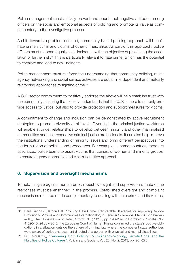<span id="page-41-0"></span>Police management must actively prevent and counteract negative attitudes among officers on the social and emotional aspects of policing and promote its value as complementary to the investigative process.

A shift towards a problem-oriented, community-based policing approach will benefit hate crime victims and victims of other crimes, alike. As part of this approach, police officers must respond equally to all incidents, with the objective of preventing the escalation of further risk.<sup>78</sup> This is particularly relevant to hate crime, which has the potential to escalate and lead to new incidents.

Police management must reinforce the understanding that community policing, multiagency networking and social service activities are equal, interdependent and mutually reinforcing approaches to fighting crime.79

A CJS sector commitment to positively endorse the above will help establish trust with the community, ensuring that society understands that the CJS is there to not only provide access to justice, but also to provide protection and support measures for victims.

A commitment to change and inclusion can be demonstrated by active recruitment strategies to promote diversity at all levels. Diversity in the criminal justice workforce will enable stronger relationships to develop between minority and other marginalized communities and their respective criminal justice professionals. It can also help improve the institutional understanding of minority issues and bring different perspectives into the formulation of policies and procedures. For example, in some countries, there are specialized police teams to assist victims that consist of women and minority groups, to ensure a gender-sensitive and victim-sensitive approach.

#### 6. Supervision and oversight mechanisms

To help mitigate against human error, robust oversight and supervision of hate crime responses must be enshrined in the process. Established oversight and complaint mechanisms must be made complementary to dealing with hate crime and its victims,

<sup>78</sup> Paul Giannasi, Nathan Hall, "Policing Hate Crime: Transferable Strategies for Improving Service Provision to Victims and Communities Internationally", in: Jennifer Schweppe, Mark Austin Walters (eds.), The Globalization of Hate (Oxford: OUP, 2016), pp. 190-209. In Đorđević v. Croatia, No. 41526/10, 24 July 2012, the European Court of Human Rights confirmed the state's positive obligations in a situation outside the sphere of criminal law where the competent state authorities were aware of serious harassment directed at a person with physical and mental disabilities.

<sup>79</sup> D.J. McCarthy, ["Gendering 'Soft' Policing: Multi-Agency Working, Female Cops, and the](https://www.tandfonline.com/doi/abs/10.1080/10439463.2012.703199)  [Fluidities of Police Culture/s](https://www.tandfonline.com/doi/abs/10.1080/10439463.2012.703199)", Policing and Society, Vol. 23, No. 2, 2013, pp. 261-278.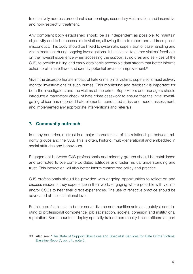<span id="page-42-0"></span>to effectively address procedural shortcomings, secondary victimization and insensitive and non-respectful treatment.

Any complaint body established should be as independent as possible, to maintain objectivity and to be accessible to victims, allowing them to report and address police misconduct. This body should be linked to systematic supervision of case handling and victim treatment during ongoing investigations. It is essential to gather victims' feedback on their overall experience when accessing the support structures and services of the CJS, to provide a living and easily obtainable accessible data stream that better informs action to eliminate flaws and identify potential areas for improvement.<sup>80</sup>

Given the disproportionate impact of hate crime on its victims, supervisors must actively monitor investigations of such crimes. This monitoring and feedback is important for both the investigators and the victims of the crime. Supervisors and managers should introduce a mandatory check of hate crime casework to ensure that the initial investigating officer has recorded hate elements, conducted a risk and needs assessment, and implemented any appropriate interventions and referrals.

#### 7. Community outreach

In many countries, mistrust is a major characteristic of the relationships between minority groups and the CJS. This is often, historic, multi-generational and embedded in social attitudes and behaviours.

Engagement between CJS professionals and minority groups should be established and promoted to overcome outdated attitudes and foster mutual understanding and trust. This interaction will also better inform customized policy and practice.

CJS professionals should be provided with ongoing opportunities to reflect on and discuss incidents they experience in their work, engaging where possible with victims and/or CSOs to hear their direct experiences. The use of reflective practice should be advocated at the institutional level.

Enabling professionals to better serve diverse communities acts as a catalyst contributing to professional competence, job satisfaction, societal cohesion and institutional reputation. Some countries deploy specially trained community liaison officers as part

<sup>80</sup> Also see: "[The State of Support Structures and Specialist Services for Hate Crime Victims:](https://www.osce.org/odihr/467916)  [Baseline Report](https://www.osce.org/odihr/467916)", op. cit., note 5.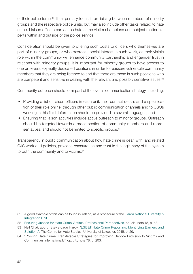of their police force.<sup>81</sup> Their primary focus is on liaising between members of minority groups and the respective police units, but may also include other tasks related to hate crime. Liaison officers can act as hate crime victim champions and subject matter experts within and outside of the police service.

Consideration should be given to offering such posts to officers who themselves are part of minority groups, or who express special interest in such work, as their visible role within the community will enhance community partnership and engender trust in relations with minority groups. It is important for minority groups to have access to one or several explicitly dedicated positions in order to reassure vulnerable community members that they are being listened to and that there are those in such positions who are competent and sensitive in dealing with the relevant and possibly sensitive issues.<sup>82</sup>

Community outreach should form part of the overall communication strategy, including:

- Providing a list of liaison officers in each unit, their contact details and a specification of their role online, through other public communication channels and to CSOs working in this field. Information should be provided in several languages; and
- Ensuring that liaison activities include active outreach to minority groups. Outreach should be targeted towards a cross-section of community members and representatives, and should not be limited to specific groups.<sup>83</sup>

Transparency in public communication about how hate crime is dealt with, and related CJS work and policies, provides reassurance and trust in the legitimacy of the system to both the community and to victims.<sup>84</sup>

<sup>81</sup> A good example of this can be found in Ireland, as a procedure of the [Garda National Diversity &](https://www.garda.ie/en/crime-prevention/community-engagement/community-engagement-offices/garda-national-diversity-integration-unit/garda-national-diversity-integration-unit.html)  [Integration Unit](https://www.garda.ie/en/crime-prevention/community-engagement/community-engagement-offices/garda-national-diversity-integration-unit/garda-national-diversity-integration-unit.html).

<sup>82</sup> [Ensuring Justice for Hate Crime Victims: Professional Perspectives](https://fra.europa.eu/sites/default/files/fra_uploads/fra-2016-justice-hate_crime-victims_en.pdf), op. cit., note 15, p. 48.

<sup>83</sup> Neil Chakraborti, Stevie-Jade Hardy, "[LGB&T Hate Crime Reporting. Identifying Barriers and](https://le.ac.uk/hate-studies/research/identifying-barriers-and-solutions-to-under-reporting)  [Solutions](https://le.ac.uk/hate-studies/research/identifying-barriers-and-solutions-to-under-reporting)", The Centre for Hate Studies, University of Leicester, 2015, p. 29.

<sup>84</sup> "Policing Hate Crime: Transferable Strategies for Improving Service Provision to Victims and Communities Internationally", op. cit., note 78, p. 203.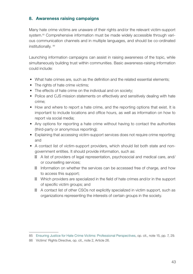#### <span id="page-44-0"></span>8. Awareness raising campaigns

Many hate crime victims are unaware of their rights and/or the relevant victim-support system.<sup>85</sup> Comprehensive information must be made widely accessible through various communication channels and in multiple languages, and should be co-ordinated institutionally. 86

Launching information campaigns can assist in raising awareness of the topic, while simultaneously building trust within communities. Basic awareness-raising information could include:

- What hate crimes are, such as the definition and the related essential elements;
- The rights of hate crime victims;
- The effects of hate crime on the individual and on society;
- Police and CJS mission statements on effectively and sensitively dealing with hate crime;
- How and where to report a hate crime, and the reporting options that exist. It is important to include locations and office hours, as well as information on how to report via social media;
- Any options for reporting a hate crime without having to contact the authorities (third-party or anonymous reporting);
- Explaining that accessing victim-support services does not require crime reporting; and
- A contact list of victim-support providers, which should list both state and nongovernment entities. It should provide information, such as:
	- A list of providers of legal representation, psychosocial and medical care, and/ or counselling services;
	- Information on whether the services can be accessed free of charge, and how to access this support;
	- Which providers are specialized in the field of hate crimes and/or in the support of specific victim groups; and

A contact list of other CSOs not explicitly specialized in victim support, such as organizations representing the interests of certain groups in the society.

<sup>85</sup> [Ensuring Justice for Hate Crime Victims: Professional Perspectives,](https://fra.europa.eu/sites/default/files/fra_uploads/fra-2016-justice-hate_crime-victims_en.pdf) op. cit., note 15, pp. 7, 29.

<sup>86</sup> Victims' Rights Directive, op. cit., note 2, Article 26.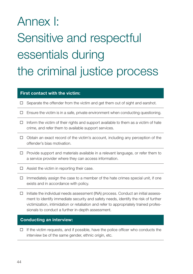# <span id="page-45-0"></span>Annex I: Sensitive and respectful essentials during the criminal justice process

#### First contact with the victim:

- $\Box$  Separate the offender from the victim and get them out of sight and earshot.
- $\Box$  Ensure the victim is in a safe, private environment when conducting questioning.
- $\Box$  Inform the victim of their rights and support available to them as a victim of hate crime, and refer them to available support services.
- $\Box$  Obtain an exact record of the victim's account, including any perception of the offender's bias motivation.
- $\Box$  Provide support and materials available in a relevant language, or refer them to a service provider where they can access information.
- $\Box$  Assist the victim in reporting their case.
- $\Box$  Immediately assign the case to a member of the hate crimes special unit, if one exists and in accordance with policy.
- $\Box$  Initiate the individual needs assessment (INA) process. Conduct an initial assessment to identify immediate security and safety needs, identify the risk of further victimization, intimidation or retaliation and refer to appropriately trained professionals to conduct a further in-depth assessment.

#### Conducting an interview:

 $\Box$  If the victim requests, and if possible, have the police officer who conducts the interview be of the same gender, ethnic origin, etc.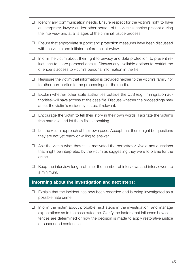- $\Box$  Identify any communication needs. Ensure respect for the victim's right to have an interpreter, lawyer and/or other person of the victim's choice present during the interview and at all stages of the criminal justice process.
- $\Box$  Ensure that appropriate support and protection measures have been discussed with the victim and initiated before the interview.
- $\Box$  Inform the victim about their right to privacy and data protection, to prevent reluctance to share personal details. Discuss any available options to restrict the offender's access to victim's personal information in the file.
- $\Box$  Reassure the victim that information is provided neither to the victim's family nor to other non-parties to the proceedings or the media.
- $\Box$  Explain whether other state authorities outside the CJS (e.g., immigration authorities) will have access to the case file. Discuss whether the proceedings may affect the victim's residency status, if relevant.
- $\Box$  Encourage the victim to tell their story in their own words. Facilitate the victim's free narrative and let them finish speaking.
- $\Box$  Let the victim approach at their own pace. Accept that there might be questions they are not yet ready or willing to answer.
- $\Box$  Ask the victim what they think motivated the perpetrator. Avoid any questions that might be interpreted by the victim as suggesting they were to blame for the crime.
- $\Box$  Keep the interview length of time, the number of interviews and interviewers to a minimum.

#### Informing about the investigation and next steps:

- $\Box$  Explain that the incident has now been recorded and is being investigated as a possible hate crime.
- $\Box$  Inform the victim about probable next steps in the investigation, and manage expectations as to the case outcome. Clarify the factors that influence how sentences are determined or how the decision is made to apply restorative justice or suspended sentences.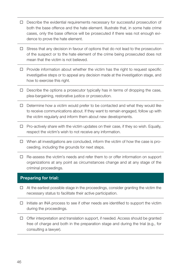- Describe the evidential requirements necessary for successful prosecution of both the base offence and the hate element. Illustrate that, in some hate crime cases, only the base offence will be prosecuted if there was not enough evidence to prove the hate element.
- $\Box$  Stress that any decision in favour of options that do not lead to the prosecution of the suspect or to the hate element of the crime being prosecuted does not mean that the victim is not believed.
- $\Box$  Provide information about whether the victim has the right to request specific investigative steps or to appeal any decision made at the investigation stage, and how to exercise this right.
- $\Box$  Describe the options a prosecutor typically has in terms of dropping the case, plea-bargaining, restorative justice or prosecution.
- $\Box$  Determine how a victim would prefer to be contacted and what they would like to receive communications about. If they want to remain engaged, follow up with the victim regularly and inform them about new developments.
- $\Box$  Pro-actively share with the victim updates on their case, if they so wish. Equally, respect the victim's wish to not receive any information.
- $\Box$  When all investigations are concluded, inform the victim of how the case is proceeding, including the grounds for next steps.
- Re-assess the victim's needs and refer them to or offer information on support organizations at any point as circumstances change and at any stage of the criminal proceedings.

#### Preparing for trial:

- $\Box$  At the earliest possible stage in the proceedings, consider granting the victim the necessary status to facilitate their active participation.
- $\Box$  Initiate an INA process to see if other needs are identified to support the victim during the proceedings.
- $\Box$  Offer interpretation and translation support, if needed. Access should be granted free of charge and both in the preparation stage and during the trial (e.g., for consulting a lawyer).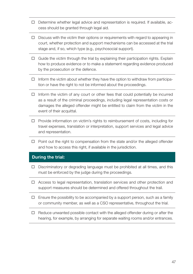- $\Box$  Determine whether legal advice and representation is required. If available, access should be granted through legal aid.
- $\square$  Discuss with the victim their options or requirements with regard to appearing in court, whether protection and support mechanisms can be accessed at the trial stage and, if so, which type (e.g., psychosocial support).
- $\Box$  Guide the victim through the trial by explaining their participation rights. Explain how to produce evidence or to make a statement regarding evidence produced by the prosecution or the defence.
- $\Box$  Inform the victim about whether they have the option to withdraw from participation or have the right to not be informed about the proceedings.
- $\Box$  Inform the victim of any court or other fees that could potentially be incurred as a result of the criminal proceedings, including legal representation costs or damages the alleged offender might be entitled to claim from the victim in the event of their acquittal.
- $\Box$  Provide information on victim's rights to reimbursement of costs, including for travel expenses, translation or interpretation, support services and legal advice and representation.
- $\Box$  Point out the right to compensation from the state and/or the alleged offender and how to access this right, if available in the jurisdiction.

#### During the trial:

- Discriminatory or degrading language must be prohibited at all times, and this must be enforced by the judge during the proceedings.
- $\Box$  Access to legal representation, translation services and other protection and support measures should be determined and offered throughout the trail.
- $\Box$  Ensure the possibility to be accompanied by a support person, such as a family or community member, as well as a CSO representative, throughout the trial.
- $\Box$  Reduce unwanted possible contact with the alleged offender during or after the hearing, for example, by arranging for separate waiting rooms and/or entrances.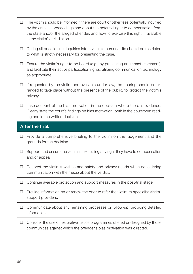- $\Box$  The victim should be informed if there are court or other fees potentially incurred by the criminal proceedings and about the potential right to compensation from the state and/or the alleged offender, and how to exercise this right, if available in the victim's jurisdiction
- $\Box$  During all questioning, inquiries into a victim's personal life should be restricted to what is strictly necessary for presenting the case.
- $\Box$  Ensure the victim's right to be heard (e.g., by presenting an impact statement), and facilitate their active participation rights, utilizing communication technology as appropriate.
- $\Box$  If requested by the victim and available under law, the hearing should be arranged to take place without the presence of the public, to protect the victim's privacy.
- $\Box$  Take account of the bias motivation in the decision where there is evidence. Clearly state the court's findings on bias motivation, both in the courtroom reading and in the written decision.

#### After the trial:

- $\Box$  Provide a comprehensive briefing to the victim on the judgement and the grounds for the decision.
- $\Box$  Support and ensure the victim in exercising any right they have to compensation and/or appeal.
- $\Box$  Respect the victim's wishes and safety and privacy needs when considering communication with the media about the verdict.
- $\Box$  Continue available protection and support measures in the post-trial stage.
- $\Box$  Provide information on or renew the offer to refer the victim to specialist victimsupport providers.
- $\Box$  Communicate about any remaining processes or follow-up, providing detailed information.
- $\Box$  Consider the use of restorative justice programmes offered or designed by those communities against which the offender's bias motivation was directed.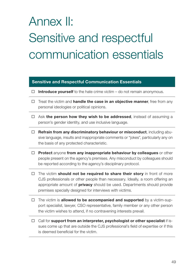# Annex II: Sensitive and respectful communication essentials

#### Sensitive and Respectful Communication Essentials

- $\Box$  Introduce yourself to the hate crime victim do not remain anonymous.
- $\Box$  Treat the victim and **handle the case in an objective manner**, free from any personal ideologies or political opinions.
- $\Box$  Ask the person how they wish to be addressed, instead of assuming a person's gender identity, and use inclusive language.
- $\Box$  Refrain from any discriminatory behaviour or misconduct, including abusive language, insults and inappropriate comments or "jokes", particularly any on the basis of any protected characteristic.
- $\Box$  Protect anyone from any inappropriate behaviour by colleagues or other people present on the agency's premises. Any misconduct by colleagues should be reported according to the agency's disciplinary protocol.
- $\Box$  The victim should not be required to share their story in front of more CJS professionals or other people than necessary. Ideally, a room offering an appropriate amount of *privacy* should be used. Departments should provide premises specially designed for interviews with victims.
- $\Box$  The victim is **allowed to be accompanied and supported** by a victim-support specialist, lawyer, CSO representative, family member or any other person the victim wishes to attend, if no contravening interests prevail.
- $\Box$  Call for support from an interpreter, psychologist or other specialist if issues come up that are outside the CJS professional's field of expertise or if this is deemed beneficial for the victim.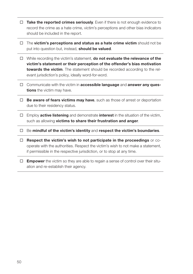- $\Box$  Take the reported crimes seriously. Even if there is not enough evidence to record the crime as a hate crime, victim's perceptions and other bias indicators should be included in the report.
- $\Box$  The victim's perceptions and status as a hate crime victim should not be put into question but, instead, **should be valued**.
- $\Box$  While recording the victim's statement, **do not evaluate the relevance of the** victim's statement or their perception of the offender's bias motivation towards the victim. The statement should be recorded according to the relevant jurisdiction's policy, ideally word-for-word.
- $\Box$  Communicate with the victim in accessible language and answer any questions the victim may have.
- $\Box$  Be aware of fears victims may have, such as those of arrest or deportation due to their residency status.
- $\Box$  Employ **active listening** and demonstrate **interest** in the situation of the victim, such as allowing victims to share their frustration and anger.
- $\Box$  Be mindful of the victim's identity and respect the victim's boundaries.
- $\Box$  Respect the victim's wish to not participate in the proceedings or cooperate with the authorities. Respect the victim's wish to not make a statement, if permissible in the respective jurisdiction, or to stop at any time.
- $\Box$  **Empower** the victim so they are able to regain a sense of control over their situation and re-establish their agency.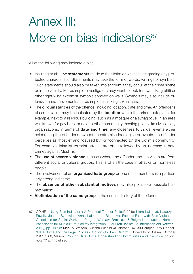### Annex III: More on bias indicators<sup>87</sup>

All of the following may indicate a bias:

- Insulting or abusive **statements** made to the victim or witnesses regarding any protected characteristic. Statements may take the form of words, writings or symbols. Such statements should also be taken into account if they occur at the crime scene or in the vicinity. For example, investigators may want to look for swastika graffiti or other right-wing extremist symbols sprayed on walls. Symbols may also include offensive hand movements, for example mimicking sexual acts;
- The **circumstances** of the offence, including location, date and time. An offender's bias motivation may be indicated by the **location** where the crime took place, for example, next to a religious building, such as a mosque or a synagogue, in an area well known for gay bars, or next to other community meeting points like civil society organizations. In terms of **date and time**, any closeness to trigger events either celebrating the offender's own (often extremist) ideologies or events the offender perceives as "hostile" and "caused by" or "connected to" the victim's community. For example, Islamist terrorist attacks are often followed by an increase in hate crimes against Muslims;
- The use of severe violence in cases where the offender and the victim are from different social or cultural groups. This is often the case in attacks on homeless people;
- The involvement of an **organized hate group** or one of its members is a particularly strong indicator;
- The **absence of other substantial motives** may also point to a possible bias motivation;
- Victimization of the same group in the criminal history of the offender;

<sup>87</sup> ODIHR, ["Using Bias Indicators: A Practical Tool for Police"](https://www.osce.org/odihr/419897), 2019; Klára Kalibová, Katarzyna Pawlik, Joanna Synowiec, Anna Kalik, Irena Biháriová, [Face to Face with Bias Violence –](https://tandis.odihr.pl/explore?bitstream_id=24807&handle=20.500.12389/22269&provider=iiif-image#?c=0&m=0&s=0&cv=3&xywh=20%2C916%2C2172%2C1328) [Guidelines for Social Workers,](https://tandis.odihr.pl/explore?bitstream_id=24807&handle=20.500.12389/22269&provider=iiif-image#?c=0&m=0&s=0&cv=3&xywh=20%2C916%2C2172%2C1328) (Prague. Warsaw, Bratislava & Belgrade: In iustitia, Nomada Association for Multicultural Society Integration, Ludi Proti Rasismu & Internation Aid Network, 2016), pp. 19-23; Mark A. Walters, Susann Wiedlitzka, Abenaa Owusu-Bempah, Kay Goodall, "[Hate Crime and the Legal Process: Options for Law Reform"](http://sro.sussex.ac.uk/id/eprint/70598/3/FINAL REPORT - HATE CRIME AND THE LEGAL PROCESS.pdf), University of Sussex, October 2017, p. 80; Mason , [Policing Hate Crime: Understanding Communities and Prejudice](https://www.routledge.com/Policing-Hate-Crime-Understanding-Communities-and-Prejudice/Mason-Maher-McCulloch-Pickering-Wickes-McKay/p/book/9780367226596), op. cit., note 77, p. 143 et seq.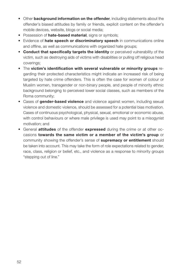- Other **background information on the offender**, including statements about the offender's biased attitudes by family or friends, explicit content on the offender's mobile devices, website, blogs or social media;
- Possession of **hate-based material**, signs or symbols;
- Evidence of hate speech or discriminatory speech in communications online and offline, as well as communications with organized hate groups;
- Conduct that specifically targets the identity or perceived vulnerability of the victim, such as destroying aids of victims with disabilities or pulling off religious head coverings;
- The victim's identification with several vulnerable or minority groups regarding their protected characteristics might indicate an increased risk of being targeted by hate crime offenders. This is often the case for women of colour or Muslim women, transgender or non-binary people, and people of minority ethnic background belonging to perceived lower social classes, such as members of the Roma community;
- Cases of **gender-based violence** and violence against women, including sexual violence and domestic violence, should be assessed for a potential bias motivation. Cases of continuous psychological, physical, sexual, emotional or economic abuse, with control behaviours or where male privilege is used may point to a misogynist motivation; and
- General attitudes of the offender expressed during the crime or at other occasions towards the same victim or a member of the victim's group or community showing the offender's sense of **supremacy or entitlement** should be taken into account. This may take the form of role expectations related to gender, race, class, religion or belief, etc., and violence as a response to minority groups "stepping out of line."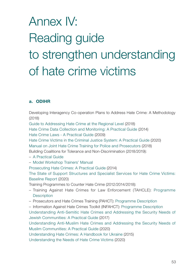# Annex IV: Reading guide to strengthen understanding of hate crime victims

#### a. ODIHR

[Developing Interagency Co-operation Plans to Address Hate Crime: A Methodology](https://www.osce.org/odihr/402305) (2018)

[Guide to Addressing Hate Crime at the Regional Level](https://www.osce.org/odihr/402536) (2018)

[Hate Crime Data Collection and Monitoring: A Practical Guide](https://www.osce.org/odihr/datacollectionguide) (2014)

[Hate Crime Laws - A Practical Guide](https://www.osce.org/odihr/36426) (2009)

[Hate Crime Victims in the Criminal Justice System: A Practical Guide](https://www.osce.org/odihr/447028) (2020) [Manual on Joint Hate Crime Training for Police and Prosecutors](https://www.osce.org/odihr/402296) (2018)

Building Coalitions for Tolerance and Non-Discrimination (2018/2019):

#### – [A Practical Guide](https://www.osce.org/odihr/386441)

– [Model Workshop Trainers' Manual](https://www.osce.org/odihr/coalition-building-model-workshop)

[Prosecuting Hate Crimes: A Practical Guide](https://www.osce.org/odihr/prosecutorsguide) (2014)

[The State of Support Structures and Specialist Services for Hate Crime Victims:](https://www.osce.org/odihr/467916) [Baseline Report](https://www.osce.org/odihr/467916) (2020)

Training Programmes to Counter Hate Crime (2012/2014/2018):

- Training Against Hate Crimes for Law Enforcement (TAHCLE): [Programme](https://www.osce.org/odihr/tahcle)  **[Description](https://www.osce.org/odihr/tahcle)**
- Prosecutors and Hate Crimes Training (PAHCT): [Programme Description](https://www.osce.org/odihr/pahct)
- Information Against Hate Crimes Toolkit (INFAHCT): [Programme Description](https://www.osce.org/odihr/INFAHCT)

[Understanding Anti-Semitic Hate Crimes and Addressing the Security Needs of](https://www.osce.org/odihr/317166)  [Jewish Communities: A Practical Guide](https://www.osce.org/odihr/317166) (2017)

[Understanding Anti-Muslim Hate Crimes and Addressing the Security Needs of](https://www.osce.org/odihr/muslim-security-guide)  [Muslim Communities: A Practical Guide](https://www.osce.org/odihr/muslim-security-guide) (2020)

[Understanding Hate Crimes: A Handbook for Ukraine](https://www.osce.org/odihr/understanding-hate-crimes-a-handbook-for-ukraine) (2015)

[Understanding the Needs of Hate Crime Victims](https://www.osce.org/odihr/463011) (2020)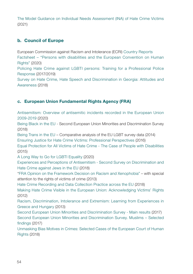[The Model Guidance on Individual Needs Assessment \(INA\) of Hate Crime Victims](https://www.osce.org/odihr/hate-crime-victim-support) (2021)

#### b. Council of Europe

European Commission against Racism and Intolerance (ECRI) [Country Reports](https://www.coe.int/en/web/european-commission-against-racism-and-intolerance/country-monitoring) [Factsheet – "Persons with disabilities and the European Convention on Human](https://www.echr.coe.int/Documents/FS_Disabled_ENG.pdf)  [Rights"](https://www.echr.coe.int/Documents/FS_Disabled_ENG.pdf) (2020)

[Policing Hate Crime against LGBTI persons: Training for a Professional Police](https://www.coe.int/en/web/sogi/publications)  [Response](https://www.coe.int/en/web/sogi/publications) (2017/2019)

[Survey on Hate Crime, Hate Speech and Discrimination in Georgia: Attitudes and](https://rm.coe.int/hate-crime-hate-speech-and-discrimination-in-attitudes-and-awareness-e/16808ef62a)  [Awareness](https://rm.coe.int/hate-crime-hate-speech-and-discrimination-in-attitudes-and-awareness-e/16808ef62a) (2018)

#### c. European Union Fundamental Rights Agency (FRA)

[Antisemitism: Overview of antisemitic incidents recorded in the European Union](https://fra.europa.eu/en/publication/2020/antisemitism-overview-2009-2019)  [2009-2019](https://fra.europa.eu/en/publication/2020/antisemitism-overview-2009-2019) (2020)

[Being Black in the EU](https://fra.europa.eu/en/publication/2018/being-black-eu) - Second European Union Minorities and Discrimination Survey (2018)

[Being Trans in the EU](https://fra.europa.eu/en/publication/2014/being-trans-eu-comparative-analysis-eu-lgbt-survey-data) – Comparative analysis of the EU LGBT survey data (2014)

[Ensuring Justice for Hate Crime Victims: Professional Perspectives](https://fra.europa.eu/en/publication/2016/ensuring-justice-hate-crime-victims-professional-perspectives) (2016)

[Equal Protection for All Victims of Hate Crime - The Case of People with Disabilities](https://fra.europa.eu/en/publication/2015/equal-protection-all-victims-hate-crime-case-people-disabilities) (2015)

[A Long Way to Go for LGBTI Equality](https://fra.europa.eu/en/publication/2020/eu-lgbti-survey-results) (2020)

[Experiences and Perceptions of Antisemitism - Second Survey on Discrimination and](https://fra.europa.eu/en/publication/2018/experiences-and-perceptions-antisemitism-second-survey-discrimination-and-hate)  [Hate Crime against Jews in the EU](https://fra.europa.eu/en/publication/2018/experiences-and-perceptions-antisemitism-second-survey-discrimination-and-hate) (2018)

["FRA Opinion on the Framework Decision on Racism and Xenophobia](https://fra.europa.eu/en/publication/2013/fra-opinion-framework-decision-racism-and-xenophobia-special-attention-rights)" – with special attention to the rights of victims of crime (2013)

[Hate Crime Recording and Data Collection Practice across the EU](https://fra.europa.eu/en/publication/2018/hate-crime-recording-and-data-collection-practice-across-eu) (2018)

[Making Hate Crime Visible in the European Union: Acknowledging Victims' Rights](https://fra.europa.eu/en/publication/2012/making-hate-crime-visible-european-union-acknowledging-victims-rights) (2012)

[Racism, Discrimination, Intolerance and Extremism: Learning from Experiences in](https://fra.europa.eu/en/publication/2013/racism-discrimination-intolerance-and-extremism-learning-experiences-greece-and)  [Greece and Hungary](https://fra.europa.eu/en/publication/2013/racism-discrimination-intolerance-and-extremism-learning-experiences-greece-and) (2013)

[Second European Union Minorities and Discrimination Survey - Main results](https://fra.europa.eu/en/publication/2017/second-european-union-minorities-and-discrimination-survey-main-results) (2017) [Second European Union Minorities and Discrimination Survey. Muslims – Selected](https://fra.europa.eu/en/publication/2017/second-european-union-minorities-and-discrimination-survey-muslims-selected)  [findings](https://fra.europa.eu/en/publication/2017/second-european-union-minorities-and-discrimination-survey-muslims-selected) (2017)

[Unmasking Bias Motives in Crimes: Selected Cases of the European Court of Human](https://fra.europa.eu/en/publication/2018/unmasking-bias-motives-crimes-selected-cases-european-court-human-rights)  [Rights](https://fra.europa.eu/en/publication/2018/unmasking-bias-motives-crimes-selected-cases-european-court-human-rights) (2018)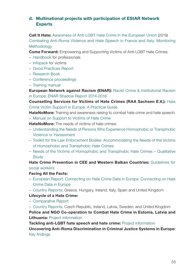#### d. Multinational projects with participation of EStAR Network Experts

Call It Hate: [Awareness of Anti-LGBT Hate Crime in the European Union](http://www.lgbthatecrime.eu/researchbook/2019 Awareness of Anti-LGBT Hate Crime in the European Union.pdf) (2019) [Combating Anti-Roma Violence and Hate Speech in France and Italy: Monitoring](http://www.errc.org/uploads/upload_en/file/methodology-osife-project-combatting-anti-roma-violence-and-hate-speech-in-france-and-italy.pdf) [Methodology](http://www.errc.org/uploads/upload_en/file/methodology-osife-project-combatting-anti-roma-violence-and-hate-speech-in-france-and-italy.pdf)

Come Forward: Empowering and Supporting Victims of Anti-LGBT Hate Crimes:

- [Handbook](http://www.lgbthatecrime.eu/resources/handbook) for professionals
- [Infopack](http://lgbthatecrime.eu/resources/infopack) for victims
- [Good Practices Report](http://www.lgbthatecrime.eu/resources/goodpractices)
- [Research Book](http://www.lgbthatecrime.eu/resources/cf-research-book)
- [Conference proceedings](http://www.lgbthatecrime.eu/final-conference/conferences-proceedings)
- [Training manual](http://www.lgbthatecrime.eu/resources/training-manual)

European Network against Racism (ENAR): [Racist Crime & Institutional Racism](https://www.enar-eu.org/IMG/pdf/shadowreport2018_final.pdf) [in Europe: ENAR Shadow Report 2014-2018](https://www.enar-eu.org/IMG/pdf/shadowreport2018_final.pdf)

Counselling Services for Victims of Hate Crimes (RAA Sachsen E.V.): [Hate](https://www.osce.org/files/f/documents/6/0/236476.pdf) [Crime Victim Support in Europe: A Practical Guide](https://www.osce.org/files/f/documents/6/0/236476.pdf)

**HateNoMore:** Training and awareness raising to combat hate crime and hate speech:

– [Manual on Support to Victims of Hate Crime](https://apav.pt/publiproj/index.php/71-projeto-odio-nunca-mais-formacao-e-sensibilizacao-no-combate-aos-crimes-de-odio-e-discurso-de-odio)

**HateNoMore:** The needs of victims of hate crimes:

- [Understanding the Needs of Persons Who Experience Homophobic or Transphobic](https://en.hatter.hu/publications/understanding-the-needs-of-persons-who-experience-homophobic-or-transphobic-violence-or) [Violence or Harassment](https://en.hatter.hu/publications/understanding-the-needs-of-persons-who-experience-homophobic-or-transphobic-violence-or)
- [Toolkit for the Law Enforcement Bodies: Accommodating the Needs of the Victims](https://kph.org.pl/wp-content/uploads/2019/09/KPH-HateNoMore_Toolkit-for-the-law-enforcement-bodies.pdf)  [of Homophobic and Transphobic Hate Crimes](https://kph.org.pl/wp-content/uploads/2019/09/KPH-HateNoMore_Toolkit-for-the-law-enforcement-bodies.pdf)
- [Needs of the Victims of Homophobic and Transphobic Hate Crimes Qualitative](https://kph.org.pl/wp-content/uploads/2019/09/KPH-HateNoMore_NEEDS-OF-THE-VICTIMS.pdf) **[Study](https://kph.org.pl/wp-content/uploads/2019/09/KPH-HateNoMore_NEEDS-OF-THE-VICTIMS.pdf)**

Hate Crime Prevention in CEE and Western Balkan Countries: [Guidelines for](https://tandis.odihr.pl/bitstream/20.500.12389/22269/1/08603.pdf) [social workers](https://tandis.odihr.pl/bitstream/20.500.12389/22269/1/08603.pdf)

#### Facing All the Facts:

- [European Report: Connecting on Hate Crime Data in Europe:](https://www.facingfacts.eu/european-report/) Connecting on Hate Crime Data in Europe
- [Country Reports:](https://www.facingfacts.eu/country-reports/) Greece, Hungary, Ireland, Italy, Spain and United Kingdom

#### Lifecycle of a Hate Crime:

– [Comparative Report](https://www.iccl.ie/wp-content/uploads/2018/10/Life-Cycle-of-a-Hate-Crime-Comparative-Report.pdf)

– [Country Reports:](https://www.iccl.ie/hatecrime/country-reports/) Czech Republic, Ireland, Latvia, Sweden, and United Kingdom Police and NGO Co-operation to Combat Hate Crime in Estonia, Latvia and **Lithuania: [Project information](https://humanrights.ee/en/activities/politsei-ja-vabauhenduste-koostoo-vaenukuritegudega-voitlemiseks-eestis-latis-ja-leedus/)** 

Tackling anti-LGBT hate speech and hate crime: [Project information](https://humanrights.ee/en/activities/to-deal-with-hate-speech-and-hate-crimes-against-the-lgbt-community/) Uncovering Anti-Roma Discrimination in Criminal Justice Systems in Europe: [Key findings](https://www.fairtrials.org/publication/uncovering-anti)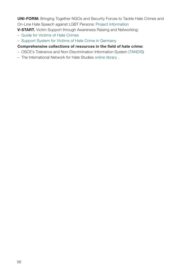UNI-FORM: Bringing Together NGOs and Security Forces to Tackle Hate Crimes and On-Line Hate Speech against LGBT Persons: [Project information](https://uni-form.eu/about?country=BE&locale=en)

V-START. Victim Support through Awareness Raising and Networking:

- [Guide for Victims of Hate Crimes](https://www.kucaljudskihprava.hr/en/publication/v-start-guide-victims-hate-crimes/)
- [Support System for Victims of Hate Crime in Germany](http://www.efms.uni-bamberg.de/pdf/v-start/Report_Germany.pdf)

#### Comprehensive collections of resources in the field of hate crime:

- OSCE's Tolerance and Non-Discrimination Information System ([TANDIS](https://tandis.odihr.pl/))
- The International Network for Hate Studies [online library](https://internationalhatestudies.com/publications/) .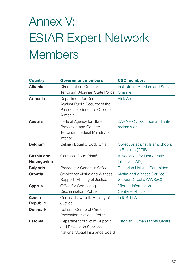## Annex V: EStAR Expert Network **Members**

| <b>Country</b>    | <b>Government members</b>        | <b>CSO members</b>                  |
|-------------------|----------------------------------|-------------------------------------|
| <b>Albania</b>    | Directorate of Counter           | Institute for Activism and Social   |
|                   | Terrorism, Albanian State Police | Change                              |
| <b>Armenia</b>    | Department for Crimes            | Pink Armenia                        |
|                   | Against Public Security of the   |                                     |
|                   | Prosecutor General's Office of   |                                     |
|                   | Armenia                          |                                     |
| <b>Austria</b>    | Federal Agency for State         | ZARA - Civil courage and anti-      |
|                   | Protection and Counter           | racism work                         |
|                   | Terrorism, Federal Ministry of   |                                     |
|                   | Interior                         |                                     |
| <b>Belgium</b>    | Belgian Equality Body Unia       | Collective against Islamophobia     |
|                   |                                  | in Belgium (CCIB)                   |
| <b>Bosnia and</b> | Cantonal Court Bihać             | <b>Association for Democratic</b>   |
| Herzegovina       |                                  | Initiatives (ADI)                   |
| <b>Bulgaria</b>   | Prosecutor General's Office      | <b>Bulgarian Helsinki Committee</b> |
| Croatia           | Service for Victim and Witness   | Victim and Witness Service          |
|                   | Support, Ministry of Justice     | Support Croatia (VWSSC)             |
| <b>Cyprus</b>     | Office for Combating             | Migrant Information                 |
|                   | Discrimination, Police           | Centre - MiHub                      |
| Czech             | Criminal Law Unit, Ministry of   | In IUSTITIA                         |
| <b>Republic</b>   | Justice                          |                                     |
| <b>Denmark</b>    | National Centre of Crime         |                                     |
|                   | Prevention, National Police      |                                     |
| <b>Estonia</b>    | Department of Victim Support     | Estonian Human Rights Centre        |
|                   | and Prevention Services,         |                                     |
|                   | National Social Insurance Board  |                                     |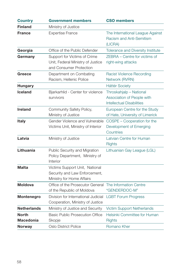| <b>Country</b>                   | <b>Government members</b>                                                                    | <b>CSO members</b>                                                                        |
|----------------------------------|----------------------------------------------------------------------------------------------|-------------------------------------------------------------------------------------------|
| <b>Finland</b>                   | Ministry of Justice                                                                          |                                                                                           |
| <b>France</b>                    | <b>Expertise France</b>                                                                      | The International League Against<br>Racism and Anti-Semitism<br>(LICRA)                   |
| Georgia                          | Office of the Public Defender                                                                | Tolerance and Diversity Institute                                                         |
| Germany                          | Support for Victims of Crime<br>Unit, Federal Ministry of Justice<br>and Consumer Protection | ZEBRA - Centre for victims of<br>right-wing attacks                                       |
| Greece                           | Department on Combating<br>Racism, Hellenic Police                                           | <b>Racist Violence Recording</b><br>Network (RVRN)                                        |
| <b>Hungary</b>                   |                                                                                              | <b>Háttér Society</b>                                                                     |
| <b>Iceland</b>                   | Bjarkarhlid - Center for violence<br>survivors                                               | Throskahjalp - National<br>Association of People with<br><b>Intellectual Disabilities</b> |
| <b>Ireland</b>                   | Community Safety Policy,<br>Ministry of Justice                                              | European Centre for the Study<br>of Hate, University of Limerick                          |
| <b>Italy</b>                     | Gender Violence and Vulnerable<br>Victims Unit, Ministry of Interior                         | COSPE - Cooperation for the<br>Development of Emerging<br>Countries                       |
| Latvia                           | Ministry of Justice                                                                          | Latvian Centre for Human<br><b>Rights</b>                                                 |
| Lithuania                        | Public Security and Migration<br>Policy Department, Ministry of<br>Interior                  | Lithuanian Gay League (LGL)                                                               |
| <b>Malta</b>                     | Victims Support Unit, National<br>Security and Law Enforcement,<br>Ministry for Home Affairs |                                                                                           |
| <b>Moldova</b>                   | Office of the Prosecutor General<br>of the Republic of Moldova                               | The Information Centre<br>"GENDERDOC-M"                                                   |
| Montenegro                       | Division for International Judicial<br>Cooperation, Ministry of Justice                      | <b>LGBT Forum Progress</b>                                                                |
| <b>Netherlands</b>               | Ministry of Justice and Security                                                             | <b>Victim Support Netherlands</b>                                                         |
| <b>North</b><br><b>Macedonia</b> | <b>Basic Public Prosecution Office</b><br>Skopje                                             | Helsinki Committee for Human<br><b>Rights</b>                                             |
| <b>Norway</b>                    | Oslo District Police                                                                         | Romano Kher                                                                               |